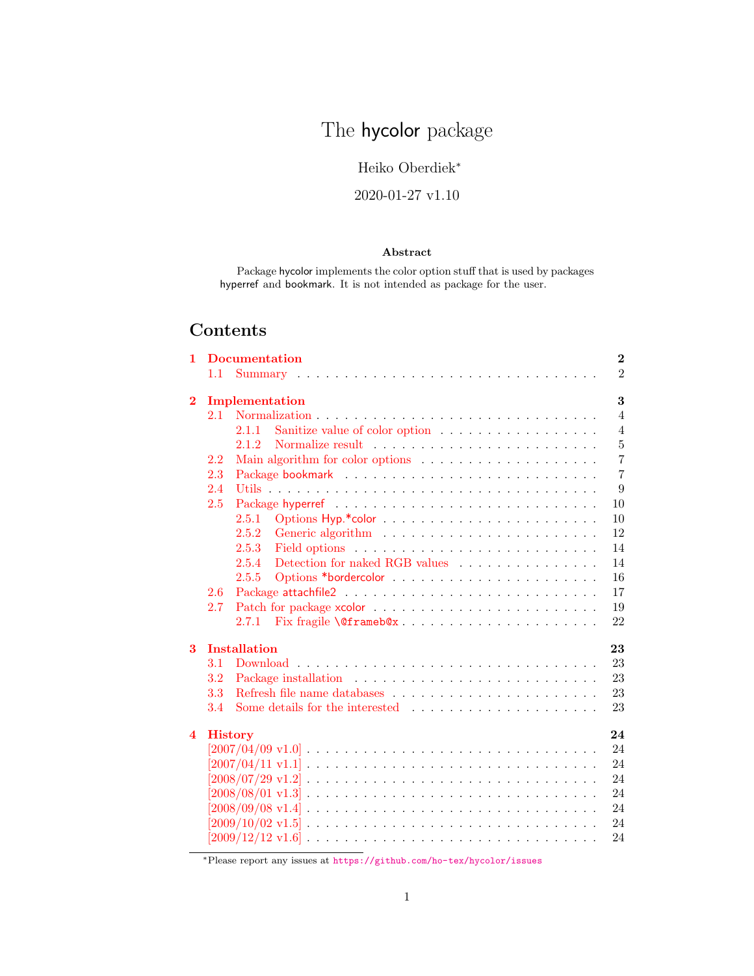# The **hycolor** package

## Heiko Oberdiek<sup>∗</sup>

## 2020-01-27 v1.10

#### Abstract

Package hycolor implements the color option stuff that is used by packages hyperref and bookmark. It is not intended as package for the user.

## Contents

| 1                       |                | <b>Documentation</b><br>$\overline{2}$                                                                                |
|-------------------------|----------------|-----------------------------------------------------------------------------------------------------------------------|
|                         | 1.1            | $\overline{2}$                                                                                                        |
| $\bf{2}$                |                | 3<br>Implementation                                                                                                   |
|                         | 2.1            | $\overline{4}$                                                                                                        |
|                         |                | Sanitize value of color option<br>$\overline{4}$<br>2.1.1                                                             |
|                         |                | $\overline{5}$<br>2.1.2                                                                                               |
|                         | 2.2            | $\overline{7}$<br>Main algorithm for color options $\dots \dots \dots \dots \dots \dots$                              |
|                         | 2.3            | $\overline{7}$                                                                                                        |
|                         | 2.4            | 9                                                                                                                     |
|                         | 2.5            | 10                                                                                                                    |
|                         |                | 2.5.1<br>10                                                                                                           |
|                         |                | 2.5.2<br>12                                                                                                           |
|                         |                | 14<br>2.5.3                                                                                                           |
|                         |                | Detection for naked RGB values $\ldots \ldots \ldots \ldots \ldots$<br>2.5.4<br>14                                    |
|                         |                | 16<br>2.5.5                                                                                                           |
|                         | 2.6            | 17                                                                                                                    |
|                         | 2.7            | 19                                                                                                                    |
|                         |                | 22<br>Fix fragile \@frameb@x<br>2.7.1                                                                                 |
| $\mathbf{3}$            |                | <b>Installation</b><br>23                                                                                             |
|                         | 3.1            | 23                                                                                                                    |
|                         | 3.2            | 23                                                                                                                    |
|                         | 3.3            | Refresh file name databases $\dots \dots \dots \dots \dots \dots \dots \dots$<br>23                                   |
|                         | 3.4            | 23                                                                                                                    |
| $\overline{\mathbf{4}}$ | <b>History</b> | 24                                                                                                                    |
|                         |                | $[2007/04/09 \text{ v}1.0] \ldots \ldots \ldots \ldots \ldots \ldots \ldots \ldots \ldots \ldots \ldots$<br>24        |
|                         |                | 24                                                                                                                    |
|                         |                | 24                                                                                                                    |
|                         |                | $[2008/08/01 \text{ v}1.3] \ldots \ldots \ldots \ldots \ldots \ldots \ldots \ldots \ldots \ldots \ldots \ldots$<br>24 |
|                         |                | 24                                                                                                                    |
|                         |                | 24                                                                                                                    |
|                         |                | 24                                                                                                                    |

<sup>∗</sup>Please report any issues at <https://github.com/ho-tex/hycolor/issues>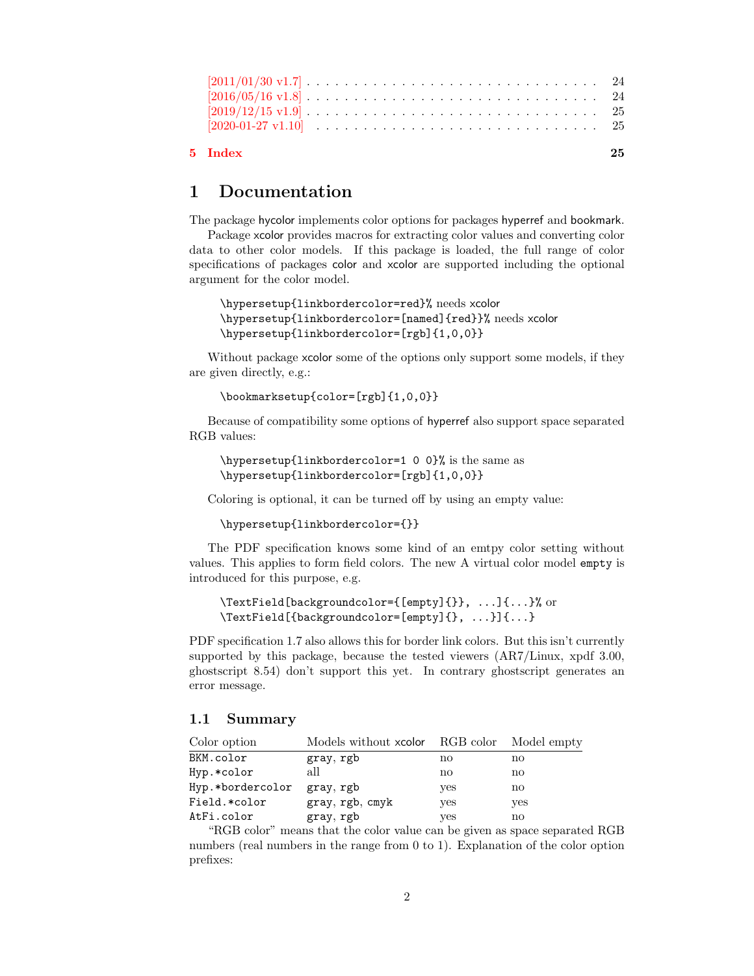| 5 Index                                                                                                     | 25. |
|-------------------------------------------------------------------------------------------------------------|-----|
|                                                                                                             |     |
| $[2019/12/15 \text{ v}1.9] \ldots \ldots \ldots \ldots \ldots \ldots \ldots \ldots \ldots \ldots \ldots 25$ |     |
| $[2016/05/16 \text{ v}1.8] \ldots \ldots \ldots \ldots \ldots \ldots \ldots \ldots \ldots \ldots \ldots 24$ |     |
| $[2011/01/30 \text{ v}1.7] \ldots \ldots \ldots \ldots \ldots \ldots \ldots \ldots \ldots \ldots \ldots 24$ |     |

## <span id="page-1-0"></span>1 Documentation

The package hycolor implements color options for packages hyperref and bookmark.

Package xcolor provides macros for extracting color values and converting color data to other color models. If this package is loaded, the full range of color specifications of packages color and xcolor are supported including the optional argument for the color model.

```
\hypersetup{linkbordercolor=red}% needs xcolor
\hypersetup{linkbordercolor=[named]{red}}% needs xcolor
\hypersetup{linkbordercolor=[rgb]{1,0,0}}
```
Without package xcolor some of the options only support some models, if they are given directly, e.g.:

\bookmarksetup{color=[rgb]{1,0,0}}

Because of compatibility some options of hyperref also support space separated RGB values:

```
\hypersetup{linkbordercolor=1 0 0}% is the same as
\hypersetup{linkbordercolor=[rgb]{1,0,0}}
```
Coloring is optional, it can be turned off by using an empty value:

```
\hypersetup{linkbordercolor={}}
```
The PDF specification knows some kind of an emtpy color setting without values. This applies to form field colors. The new A virtual color model empty is introduced for this purpose, e.g.

```
\TextField[backgroundcolor={[empty]{}}, ...]{...}% or
\TextField[{backgroundcolor=[empty]{}, ...}]{...}
```
PDF specification 1.7 also allows this for border link colors. But this isn't currently supported by this package, because the tested viewers (AR7/Linux, xpdf 3.00, ghostscript 8.54) don't support this yet. In contrary ghostscript generates an error message.

#### <span id="page-1-1"></span>1.1 Summary

| Color option     | Models without xcolor RGB color Model empty |     |     |
|------------------|---------------------------------------------|-----|-----|
| BKM.color        | gray, rgb                                   | no  | no  |
| Hyp.*color       | all                                         | no  | no  |
| Hyp.*bordercolor | gray, rgb                                   | yes | no  |
| Field.*color     | gray, rgb, cmyk                             | yes | yes |
| AtFi.color       | gray, rgb                                   | yes | no  |

"RGB color" means that the color value can be given as space separated RGB numbers (real numbers in the range from 0 to 1). Explanation of the color option prefixes: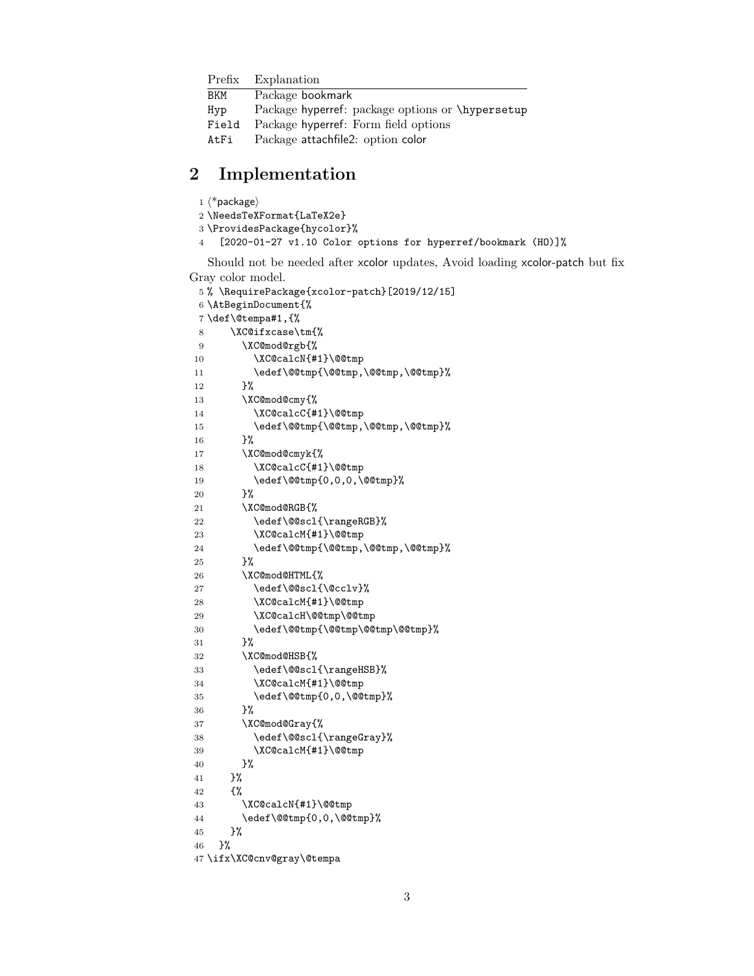|       | Prefix Explanation                               |
|-------|--------------------------------------------------|
| BKM   | Package bookmark                                 |
| Hyp   | Package hyperref: package options or \hypersetup |
| Field | Package hyperref: Form field options             |
| AtFi  | Package attachfile2: option color                |

## <span id="page-2-0"></span>2 Implementation

<span id="page-2-25"></span><span id="page-2-24"></span>  $\langle$ \*package $\rangle$  \NeedsTeXFormat{LaTeX2e} \ProvidesPackage{hycolor}% [2020-01-27 v1.10 Color options for hyperref/bookmark (HO)]% Should not be needed after xcolor updates, Avoid loading xcolor-patch but fix Gray color model.

```
5 % \RequirePackage{xcolor-patch}[2019/12/15]
6 \AtBeginDocument{%
7 \def\@tempa#1,{%
8 \XC@ifxcase\tm{%
9 \XC@mod@rgb{%
10 \XC@calcN{#1}\@@tmp
11 \edef\@@tmp{\@@tmp,\@@tmp,\@@tmp}%
12 }%
13 \XC@mod@cmy{%
14 \XC@calcC{#1}\@@tmp
15 \edef\@@tmp{\@@tmp,\@@tmp,\@@tmp}%
16 }%
17 \XC@mod@cmyk{%
18 \XC@calcC{#1}\@@tmp
19 \edef\@@tmp{0,0,0,\@@tmp}%
20 }%
21 \XC@mod@RGB{%
22 \edef\@@scl{\rangeRGB}%
23 \XC@calcM{#1}\@@tmp
24 \edef\@@tmp{\@@tmp,\@@tmp,\@@tmp}%
25 }%
26 \XC@mod@HTML{%
27 \edef\@@scl{\@cclv}%
28 \XC@calcM{#1}\@@tmp
29 \XC@calcH\@@tmp\@@tmp
30 \edef\@@tmp{\@@tmp\@@tmp\@@tmp}%
31 }%
32 \XC@mod@HSB{%
33 \edef\@@scl{\rangeHSB}%
34 \XC@calcM{#1}\@@tmp
35 \edef\@@tmp{0,0,\@@tmp}%
36 }%
37 \XC@mod@Gray{%
38 \edef\@@scl{\rangeGray}%
39 \XC@calcM{#1}\@@tmp
40 }%
41 }%
42 {%
43 \XC@calcN{#1}\@@tmp
44 \edef\@@tmp{0,0,\@@tmp}%
45 }%
46 }%
47 \ifx\XC@cnv@gray\@tempa
```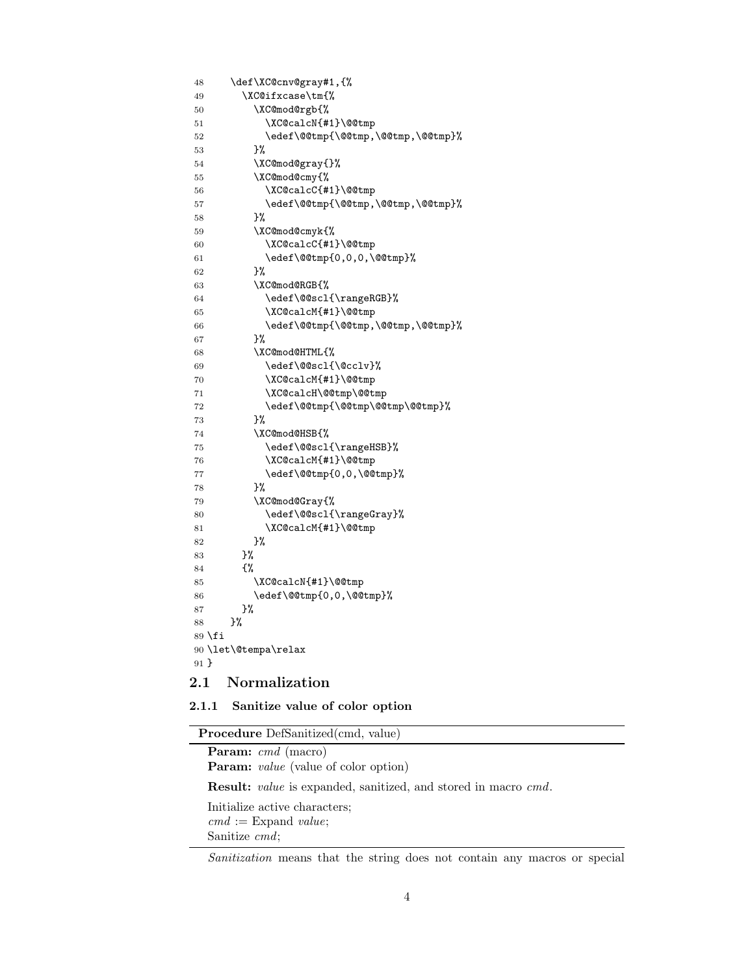```
48 \def\XC@cnv@gray#1,{%
49 \XC@ifxcase\tm{%
50 \XC@mod@rgb{%
51 \XC@calcN{#1}\@@tmp
52 \edef\@@tmp{\@@tmp,\@@tmp,\@@tmp}%
53 }%
54 \XC@mod@gray{}%
55 \XC@mod@cmy{%
56 \XC@calcC{#1}\@@tmp
57 \edef\@@tmp{\@@tmp,\@@tmp,\@@tmp}%
58 }%
59 \XC@mod@cmyk{%
60 \XC@calcC{#1}\@@tmp
61 \edef\@@tmp{0,0,0,\@@tmp}%
62 } }%
63 \XC@mod@RGB{%
64 \edef\@@scl{\rangeRGB}%
65 \XC@calcM{#1}\@@tmp
66 \edef\@@tmp{\@@tmp,\@@tmp,\@@tmp}%
67 }%
68 \XC@mod@HTML{%
69 \edef\@@scl{\@cclv}%
70 \XC@calcM{#1}\@@tmp
71 \XC@calcH\@@tmp\@@tmp
72 \edef\@@tmp{\@@tmp\@@tmp\@@tmp}%
73 }%
74 \XC@mod@HSB{%
75 \edef\@@scl{\rangeHSB}%
76 \XC@calcM{#1}\@@tmp
77 \edef\@@tmp{0,0,\@@tmp}%
78 }%
79 \XC@mod@Gray{%
80 \edef\@@scl{\rangeGray}%
81 \XC@calcM{#1}\@@tmp
82 }%
83 }%
84 {%
85 \XC@calcN{#1}\@@tmp
86 \edef\@@tmp{0,0,\@@tmp}%
87 }%
88 }%
89 \fi
90 \let\@tempa\relax
91 }
```
#### <span id="page-3-29"></span><span id="page-3-27"></span><span id="page-3-22"></span><span id="page-3-21"></span><span id="page-3-20"></span><span id="page-3-19"></span><span id="page-3-18"></span><span id="page-3-17"></span><span id="page-3-16"></span><span id="page-3-15"></span><span id="page-3-5"></span><span id="page-3-4"></span><span id="page-3-0"></span>2.1 Normalization

#### <span id="page-3-1"></span>2.1.1 Sanitize value of color option

| <b>Procedure</b> DefSanitized(cmd, value)                                    |
|------------------------------------------------------------------------------|
| <b>Param:</b> cmd (macro)                                                    |
| <b>Param:</b> <i>value</i> (value of color option)                           |
| <b>Result:</b> <i>value</i> is expanded, sanitized, and stored in macro cmd. |
| Initialize active characters:                                                |
| $cmd := Expand value;$<br>Sanitize $cmd$ ;                                   |
|                                                                              |

Sanitization means that the string does not contain any macros or special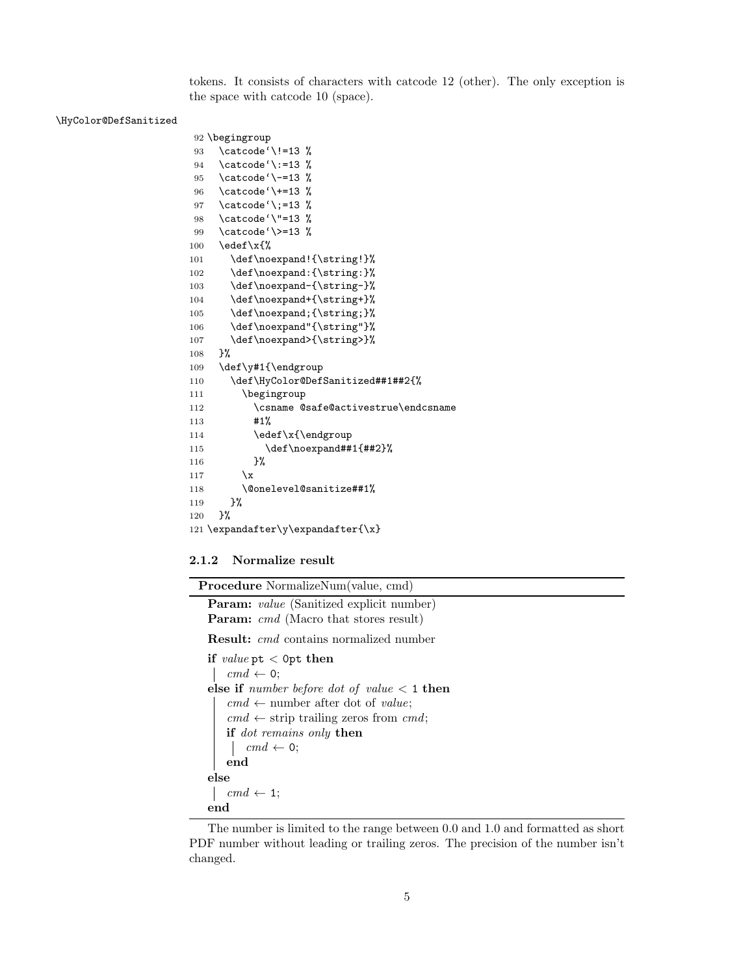tokens. It consists of characters with catcode 12 (other). The only exception is the space with catcode 10 (space).

#### <span id="page-4-10"></span>\HyColor@DefSanitized

```
92 \begingroup
93 \catcode'\!=13 %
94 \catcode'\:=13 %
95 \catcode'\-=13 %
96 \catcode'\+=13 %
97 \catcode'\;=13 %
98 \catcode'\"=13 %
99 \catcode'\>=13 %
100 \ \text{led}(x\101 \def\noexpand!{\string!}%
102 \def\noexpand:{\string:}%
103 \def\noexpand-{\string-}%
104 \def\noexpand+{\string+}%
105 \def\noexpand;{\string;}%
106 \def\noexpand"{\string"}%
107 \def\noexpand>{\string>}%
108 }%
109 \def\y#1{\endgroup
110 \def\HyColor@DefSanitized##1##2{%
111 \begingroup
112 \csname @safe@activestrue\endcsname
113 #1%
114 \edef\x{\endgroup
115 \def\noexpand##1{##2}%
116 }%
117 \quad \mathbf{\chi}118 \@onelevel@sanitize##1%
119 }%
120 }%
121 \expandafter\y\expandafter{\x}
```
#### <span id="page-4-15"></span><span id="page-4-14"></span><span id="page-4-13"></span><span id="page-4-12"></span><span id="page-4-9"></span><span id="page-4-8"></span><span id="page-4-0"></span>2.1.2 Normalize result

Procedure NormalizeNum(value, cmd)

```
Param: value (Sanitized explicit number)
Param: cmd (Macro that stores result)
Result: cmd contains normalized number
if value pt < 0pt then
 \vert cmd \leftarrow 0;
else if number before dot of value < 1 then
   cmd \leftarrow number after dot of value;
    cmd \leftarrow strip trailing zeros from cmd;
   if dot remains only then
       cmd \leftarrow 0;
   end
else
   cmd \leftarrow 1;end
```
The number is limited to the range between 0.0 and 1.0 and formatted as short PDF number without leading or trailing zeros. The precision of the number isn't changed.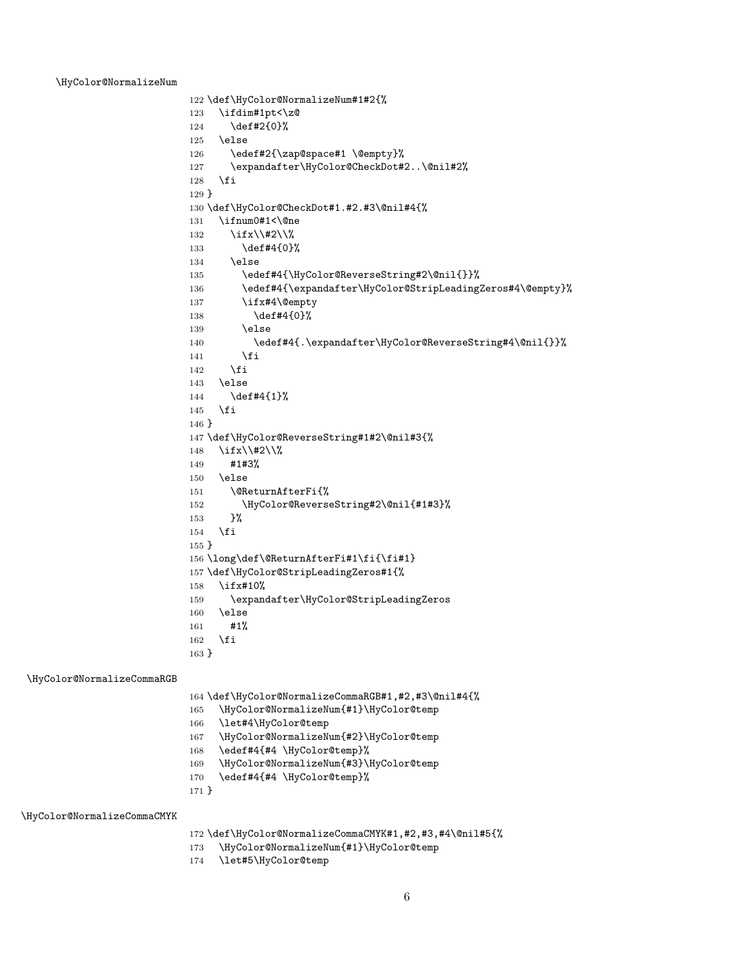#### <span id="page-5-18"></span>\HyColor@NormalizeNum

```
122 \def\HyColor@NormalizeNum#1#2{%
123 \ifdim#1pt<\z@
124 \def#2{0}%
125 \else
126 \edef#2{\zap@space#1 \@empty}%
127 \expandafter\HyColor@CheckDot#2..\@nil#2%
128 \fi
129 }
130 \def\HyColor@CheckDot#1.#2.#3\@nil#4{%
131 \ifnum0#1<\@ne
132 \ifx\\#2\\%
133 \def#4{0}%
134 \text{le}135 \edef#4{\HyColor@ReverseString#2\@nil{}}%
136 \edef#4{\expandafter\HyColor@StripLeadingZeros#4\@empty}%
137 \ifx#4\@empty
138 \def#4{0}%
139 \else
140 \edef#4{.\expandafter\HyColor@ReverseString#4\@nil{}}%
141 \fi
142 \fi
143 \else
144 \def#4{1}%
145 \fi
146 }
147 \def\HyColor@ReverseString#1#2\@nil#3{%
148 \ifx\\#2\\%
149 #1#3%
150 \else
151 \@ReturnAfterFi{%
152 \HyColor@ReverseString#2\@nil{#1#3}%
153 }%
154 \fi
155 }
156 \long\def\@ReturnAfterFi#1\fi{\fi#1}
157 \def\HyColor@StripLeadingZeros#1{%
158 \ifx#10%
159 \expandafter\HyColor@StripLeadingZeros
160 \else
161 #1%
162 \fi
163 }
```
<span id="page-5-17"></span>\HyColor@NormalizeCommaRGB

<span id="page-5-30"></span><span id="page-5-24"></span><span id="page-5-23"></span><span id="page-5-15"></span><span id="page-5-12"></span><span id="page-5-11"></span><span id="page-5-10"></span><span id="page-5-1"></span><span id="page-5-0"></span>\def\HyColor@NormalizeCommaRGB#1,#2,#3\@nil#4{%

- <span id="page-5-19"></span>\HyColor@NormalizeNum{#1}\HyColor@temp
- <span id="page-5-25"></span>\let#4\HyColor@temp
- <span id="page-5-20"></span>\HyColor@NormalizeNum{#2}\HyColor@temp
- <span id="page-5-26"></span>\edef#4{#4 \HyColor@temp}%
- <span id="page-5-21"></span>\HyColor@NormalizeNum{#3}\HyColor@temp
- <span id="page-5-27"></span>\edef#4{#4 \HyColor@temp}%

}

<span id="page-5-16"></span>\HyColor@NormalizeCommaCMYK

<span id="page-5-13"></span>\def\HyColor@NormalizeCommaCMYK#1,#2,#3,#4\@nil#5{%

- <span id="page-5-22"></span>\HyColor@NormalizeNum{#1}\HyColor@temp
- <span id="page-5-28"></span>\let#5\HyColor@temp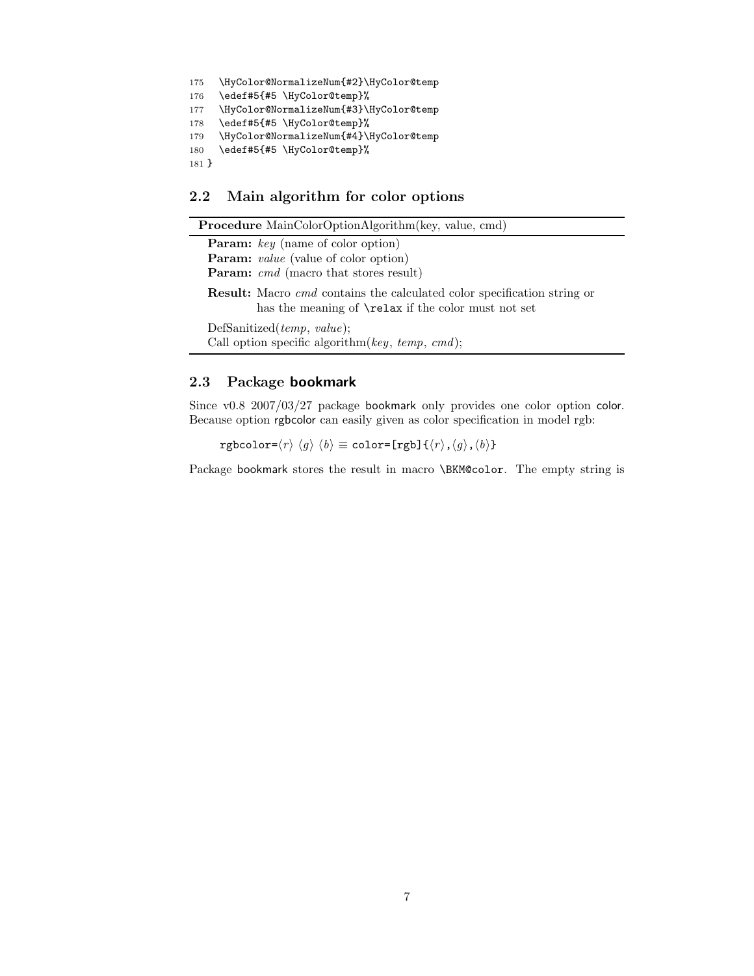```
175 \HyColor@NormalizeNum{#2}\HyColor@temp
176 \edef#5{#5 \HyColor@temp}%
177 \HyColor@NormalizeNum{#3}\HyColor@temp
178 \edef#5{#5 \HyColor@temp}%
179 \HyColor@NormalizeNum{#4}\HyColor@temp
180 \edef#5{#5 \HyColor@temp}%
181 }
```
## <span id="page-6-7"></span><span id="page-6-0"></span>2.2 Main algorithm for color options

| <b>Procedure</b> MainColorOptionAlgorithm(key, value, cmd)                                                                                          |
|-----------------------------------------------------------------------------------------------------------------------------------------------------|
| <b>Param:</b> key (name of color option)                                                                                                            |
| <b>Param:</b> <i>value</i> (value of color option)                                                                                                  |
| <b>Param:</b> cmd (macro that stores result)                                                                                                        |
| <b>Result:</b> Macro <i>cmd</i> contains the calculated color specification string or<br>has the meaning of <b>\relax</b> if the color must not set |
| DefSanitized( $temp, value$ );<br>Call option specific algorithm( $key, temp, cmd$ );                                                               |

#### <span id="page-6-1"></span>2.3 Package bookmark

Since v0.8 2007/03/27 package bookmark only provides one color option color. Because option rgbcolor can easily given as color specification in model rgb:

rgbcolor= $\langle r \rangle \langle g \rangle \langle b \rangle \equiv$ color=[rgb]{ $\langle r \rangle$ , $\langle g \rangle$ , $\langle b \rangle$ }

Package bookmark stores the result in macro \BKM@color. The empty string is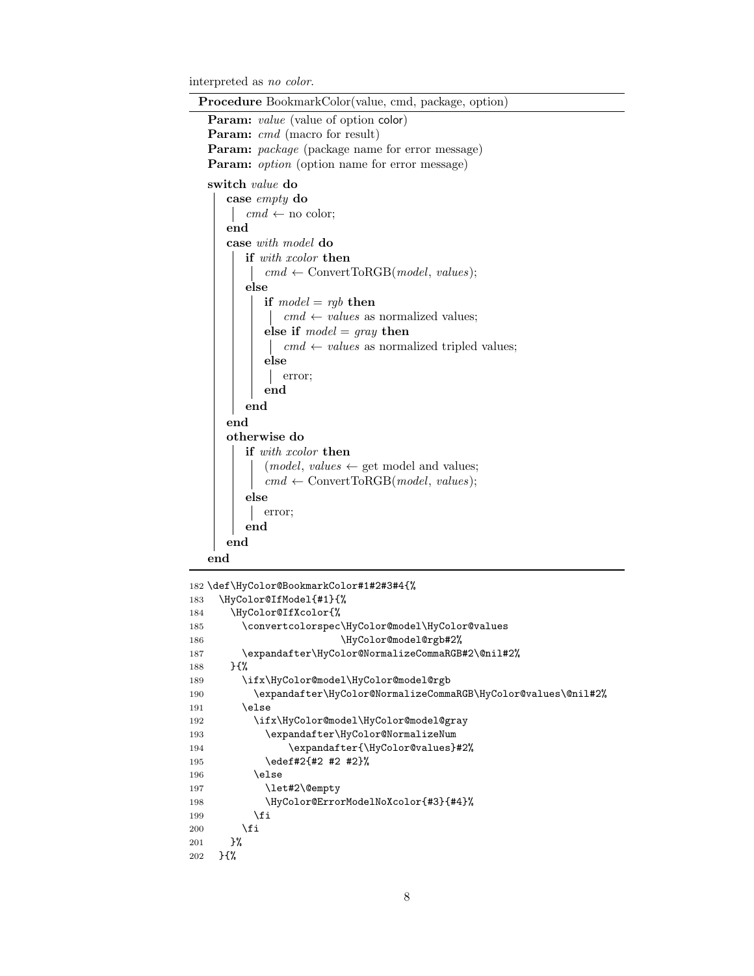interpreted as no color.

| <b>Procedure</b> BookmarkColor(value, cmd, package, option) |  |  |
|-------------------------------------------------------------|--|--|
| Param: value (value of option color)                        |  |  |
| <b>Param:</b> cmd (macro for result)                        |  |  |
| <b>Param:</b> package (package name for error message)      |  |  |
| <b>Param:</b> option (option name for error message)        |  |  |
| switch <i>value</i> do                                      |  |  |
| case $empty$ do                                             |  |  |
| $cmd \leftarrow no color;$                                  |  |  |
| end                                                         |  |  |
| case with model do                                          |  |  |
| <b>if</b> with xcolor then                                  |  |  |
| $cmd \leftarrow ConvertToRGB(model, values);$               |  |  |
| else                                                        |  |  |
| if $model = rgb$ then                                       |  |  |
| $cmd \leftarrow values$ as normalized values;               |  |  |
| else if $model = gray$ then                                 |  |  |
| $cmd \leftarrow values$ as normalized tripled values;       |  |  |
| else                                                        |  |  |
| error;                                                      |  |  |
| end                                                         |  |  |
| end                                                         |  |  |
| end                                                         |  |  |
| otherwise do                                                |  |  |
| <b>if</b> with xcolor <b>then</b>                           |  |  |
| $(model, values \leftarrow get \text{ model and values};$   |  |  |
| $cmd \leftarrow ConvertToRGB(model, values);$               |  |  |
| else                                                        |  |  |
| error;                                                      |  |  |
| end                                                         |  |  |
| end                                                         |  |  |
| end                                                         |  |  |
|                                                             |  |  |
| 182 \def\HyColor@BookmarkColor#1#2#3#4{%                    |  |  |

```
183 \HyColor@IfModel{#1}{%
184 \HyColor@IfXcolor{%
185 \convertcolorspec\HyColor@model\HyColor@values
186 \HyColor@model@rgb#2%
187 \expandafter\HyColor@NormalizeCommaRGB#2\@nil#2%
188 }{%
189 \ifx\HyColor@model\HyColor@model@rgb
190 \expandafter\HyColor@NormalizeCommaRGB\HyColor@values\@nil#2%
191 \else
192 \ifx\HyColor@model\HyColor@model@gray
193 \expandafter\HyColor@NormalizeNum
194 \expandafter{\HyColor@values}#2%
195 \edef#2{#2 #2 #2}%
196 \else
197 \let#2\@empty
198 \HyColor@ErrorModelNoXcolor{#3}{#4}%
199 \qquad \qquad \int fi
200 \setminusfi
201 }%
202 }{%
```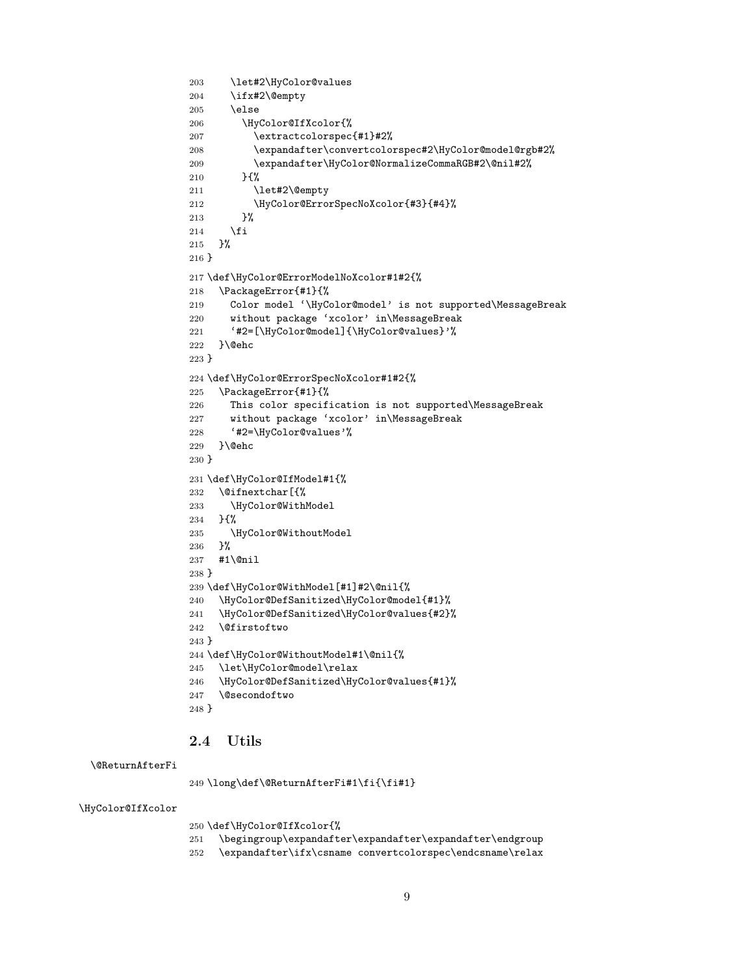```
203 \let#2\HyColor@values
204 \ifx#2\@empty
205 \else
206 \HyColor@IfXcolor{%
207 \extractcolorspec{#1}#2%
208 \expandafter\convertcolorspec#2\HyColor@model@rgb#2%
209 \expandafter\HyColor@NormalizeCommaRGB#2\@nil#2%
210 }{%
211 \let#2\@empty
212 \HyColor@ErrorSpecNoXcolor{#3}{#4}%
213 }%
214 \fi
215 }%
216 }
217 \def\HyColor@ErrorModelNoXcolor#1#2{%
218 \PackageError{#1}{%
219 Color model '\HyColor@model' is not supported\MessageBreak
220 without package 'xcolor' in\MessageBreak
221 '#2=[\HyColor@model]{\HyColor@values}'%
222 }\@ehc
223 }
224 \def\HyColor@ErrorSpecNoXcolor#1#2{%
225 \PackageError{#1}{%
226 This color specification is not supported\MessageBreak
227 without package 'xcolor' in\MessageBreak
228 '#2=\HyColor@values'%
229 }\@ehc
230 }
231 \def\HyColor@IfModel#1{%
232 \@ifnextchar[{%
233 \HyColor@WithModel
234 }{%
235 \HyColor@WithoutModel
236 }%
237 #1\@nil
238 }
239 \def\HyColor@WithModel[#1]#2\@nil{%
240 \HyColor@DefSanitized\HyColor@model{#1}%
241 \HyColor@DefSanitized\HyColor@values{#2}%
242 \@firstoftwo
243 }
244 \def\HyColor@WithoutModel#1\@nil{%
245 \let\HyColor@model\relax
246 \HyColor@DefSanitized\HyColor@values{#1}%
247 \@secondoftwo
248 }
```
### <span id="page-8-34"></span><span id="page-8-31"></span><span id="page-8-30"></span><span id="page-8-29"></span><span id="page-8-27"></span><span id="page-8-22"></span><span id="page-8-18"></span><span id="page-8-17"></span><span id="page-8-16"></span><span id="page-8-12"></span><span id="page-8-11"></span><span id="page-8-10"></span><span id="page-8-9"></span><span id="page-8-7"></span><span id="page-8-6"></span><span id="page-8-3"></span><span id="page-8-0"></span>2.4 Utils

#### <span id="page-8-1"></span>\@ReturnAfterFi

```
249 \long\def\@ReturnAfterFi#1\fi{\fi#1}
```
<span id="page-8-24"></span>\HyColor@IfXcolor

\def\HyColor@IfXcolor{%

- \begingroup\expandafter\expandafter\expandafter\endgroup
- <span id="page-8-14"></span>\expandafter\ifx\csname convertcolorspec\endcsname\relax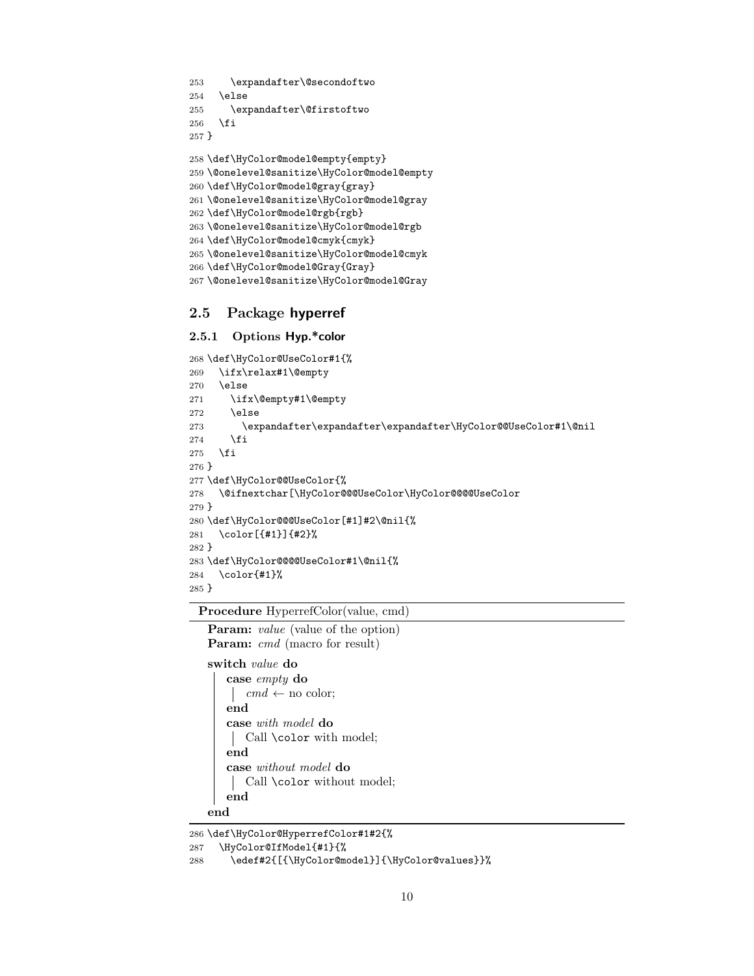```
253 \expandafter\@secondoftwo
254 \else
255 \expandafter\@firstoftwo
256 \overline{1}257 }
258 \def\HyColor@model@empty{empty}
259 \@onelevel@sanitize\HyColor@model@empty
260 \def\HyColor@model@gray{gray}
261 \@onelevel@sanitize\HyColor@model@gray
262 \def\HyColor@model@rgb{rgb}
263 \@onelevel@sanitize\HyColor@model@rgb
264 \def\HyColor@model@cmyk{cmyk}
265 \@onelevel@sanitize\HyColor@model@cmyk
266 \def\HyColor@model@Gray{Gray}
267 \@onelevel@sanitize\HyColor@model@Gray
```
## <span id="page-9-25"></span><span id="page-9-23"></span><span id="page-9-21"></span><span id="page-9-13"></span><span id="page-9-12"></span><span id="page-9-11"></span><span id="page-9-10"></span><span id="page-9-0"></span>2.5 Package hyperref

#### <span id="page-9-1"></span>2.5.1 Options Hyp.\*color

```
268 \def\HyColor@UseColor#1{%
269 \ifx\relax#1\@empty
270 \else
271 \ifx\@empty#1\@empty
272 \else
273 \expandafter\expandafter\expandafter\HyColor@@UseColor#1\@nil
274 \fi
275 \{f_i\}276 }
277 \def\HyColor@@UseColor{%
278 \@ifnextchar[\HyColor@@@UseColor\HyColor@@@@UseColor
279 }
280 \def\HyColor@@@UseColor[#1]#2\@nil{%
281 \color[{#1}]{#2}%
282 }
283 \def\HyColor@@@@UseColor#1\@nil{%
284 \color{#1}%
285 }
```
<span id="page-9-16"></span><span id="page-9-15"></span><span id="page-9-8"></span><span id="page-9-7"></span><span id="page-9-5"></span>Procedure HyperrefColor(value, cmd) Param: *value* (value of the option)

Param: cmd (macro for result) switch value do

```
case empty do
    cmd \leftarrow no color;end
   case with model do
   Call \color with model;
   end
   case without model do
   Call \color without model;
   end
end
```

```
286 \def\HyColor@HyperrefColor#1#2{%
```

```
287 \HyColor@IfModel{#1}{%
```

```
288 \edef#2{[{\HyColor@model}]{\HyColor@values}}%
```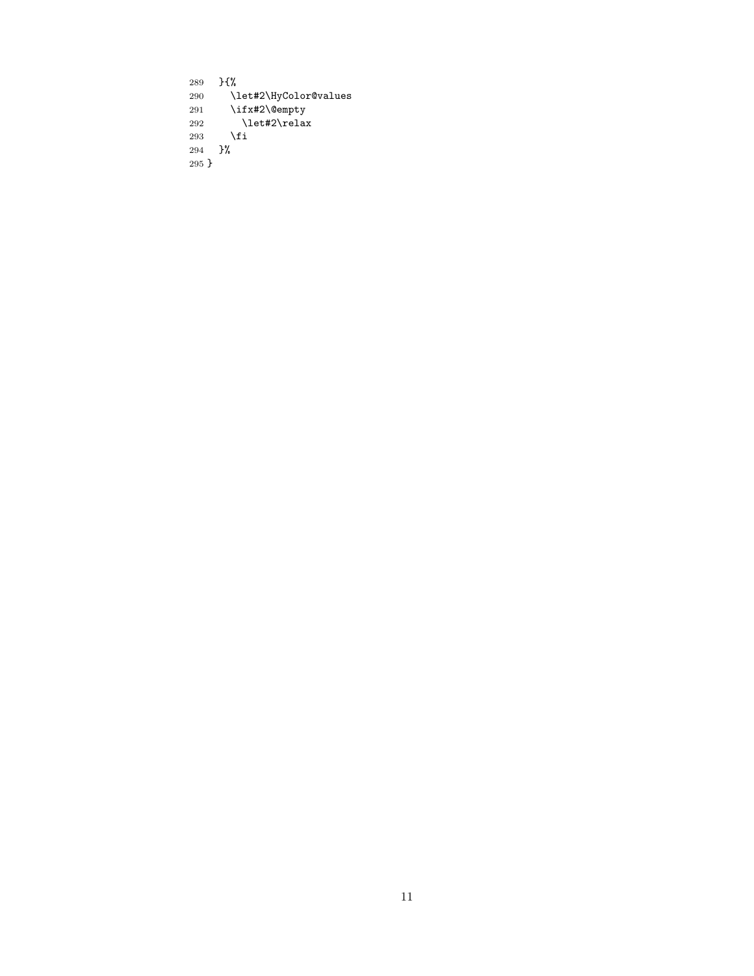<span id="page-10-1"></span><span id="page-10-0"></span>289 } $\{ \begin{array}{cc} 289 \\ 290 \end{array}$  } \let#2\HyColor@values 291  $\iint x \#2\@empty$ empty 292 \let#2\relax 293  $\setminus$ fi 294 }% 295 }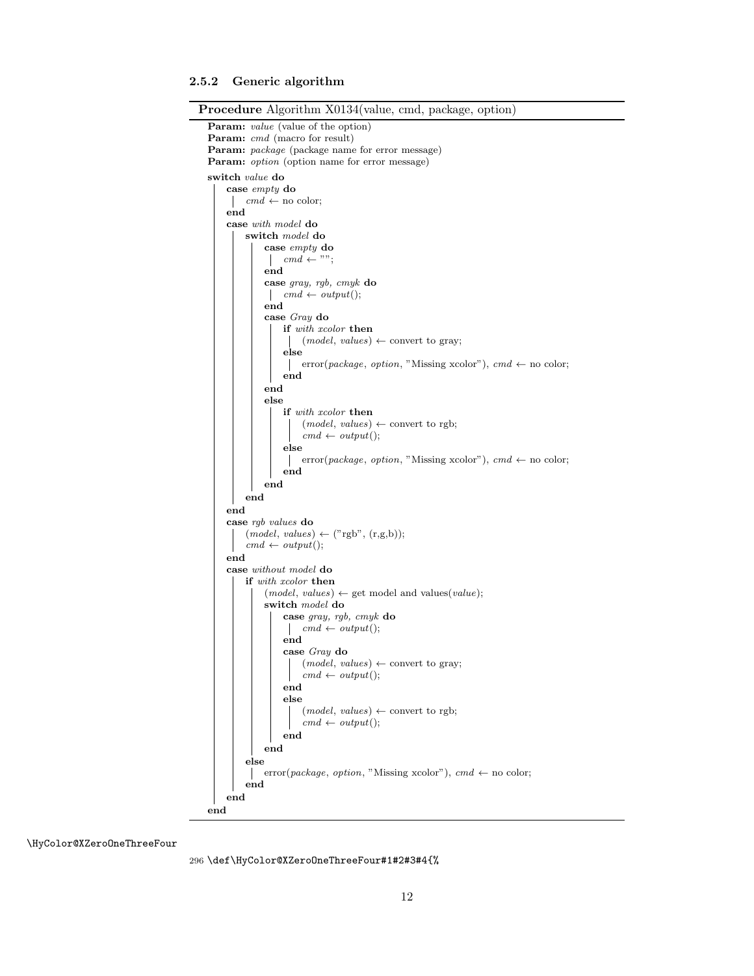#### <span id="page-11-0"></span>2.5.2 Generic algorithm

```
Procedure Algorithm X0134(value, cmd, package, option)
  Param: value (value of the option)
  Param: cmd (macro for result)
  Param: package (package name for error message)
 Param: option (option name for error message)
  switch value do
      case empty do
          cmd \leftarrow no color;\mathbb{R}end
      case with model do
          switch model do
               case empty do
                \vert cmd \leftarrow "";
               end
               case gray, rgb, cmyk do
                \vert cmd \leftarrow output();
               end
               case Gray do
                   if with xcolor then
                    \vert (model, values) \leftarrow convert to gray;
                   else
                    error(package, option, "Missing xcolor"), cmd \leftarrow no color;
                   end
               end
               else
                   if with xcolor then
                       (model, values) \leftarrow convert to rgb;cmd \leftarrow output();else
                    error(package, option, "Missing xcolor"), cmd \leftarrow no color;
                   end
              end
          end
      end
      case rgb values do
          (model, values) \leftarrow ("rgb", (r,g,b));cmd \leftarrow output();end
      case without model do
          if with xcolor then
               (model, values) \leftarrow get model and values(value);switch model do
                   case gray, rgb, cmyk do
                    \vert cmd \leftarrow output();
                   end
                   case Gray do
                        (model, values) \leftarrow convert to gray;cmd \leftarrow output();end
                   else
                        (model, values) \leftarrow convert to rgb;cmd \leftarrow output();end
               end
          else
              error(package, option, "Missing xcolor"), cmd \leftarrow no color;
           \mathbf{I}end
      end
 end
```
<span id="page-11-1"></span>\HyColor@XZeroOneThreeFour

296 \def\HyColor@XZeroOneThreeFour#1#2#3#4{%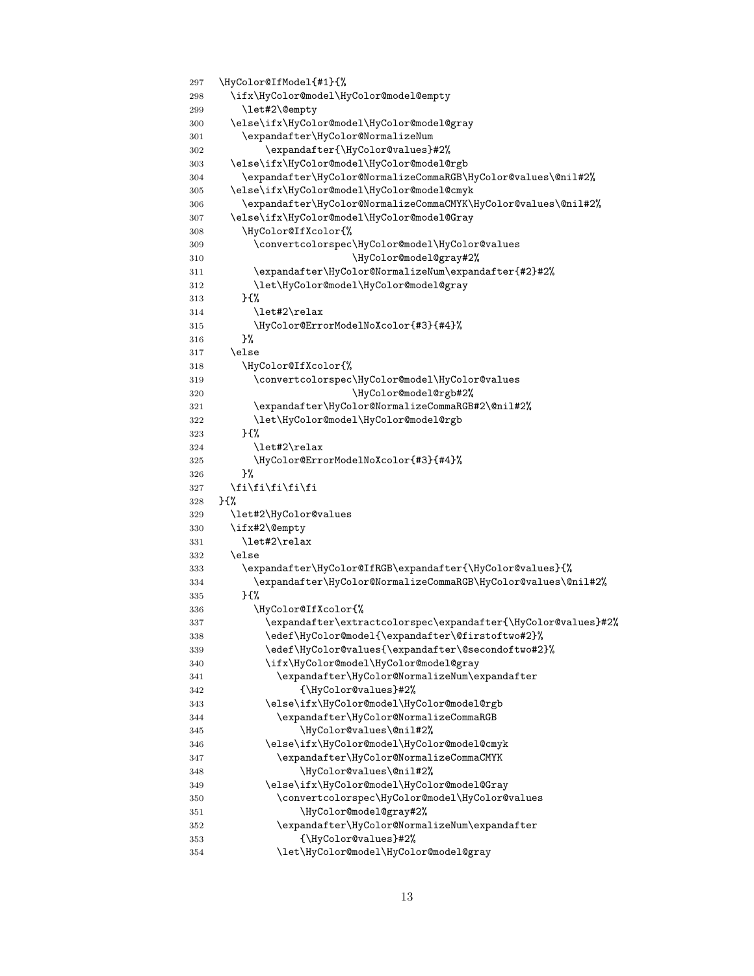```
297 \HyColor@IfModel{#1}{%
298 \ifx\HyColor@model\HyColor@model@empty
299 \let#2\@empty
300 \else\ifx\HyColor@model\HyColor@model@gray
301 \expandafter\HyColor@NormalizeNum
302 \expandafter{\HyColor@values}#2%
303 \else\ifx\HyColor@model\HyColor@model@rgb
304 \expandafter\HyColor@NormalizeCommaRGB\HyColor@values\@nil#2%
305 \else\ifx\HyColor@model\HyColor@model@cmyk
306 \expandafter\HyColor@NormalizeCommaCMYK\HyColor@values\@nil#2%
307 \else\ifx\HyColor@model\HyColor@model@Gray
308 \HyColor@IfXcolor{%
309 \convertcolorspec\HyColor@model\HyColor@values
310 \HyColor@model@gray#2%
311 \expandafter\HyColor@NormalizeNum\expandafter{#2}#2%
312 \let\HyColor@model\HyColor@model@gray
313 }{%
314 \let#2\relax
315 \HyColor@ErrorModelNoXcolor{#3}{#4}%
316 }%
317 \leq \leq \leq \leq \leq \leq \leq \leq \leq \leq \leq \leq \leq \leq \leq \leq \leq \leq \leq \leq \leq \leq \leq \leq \leq \leq \leq \leq \leq \leq \leq \leq \leq \leq \leq \leq318 \HyColor@IfXcolor{%
319 \convertcolorspec\HyColor@model\HyColor@values
320 \HyColor@model@rgb#2%
321 \expandafter\HyColor@NormalizeCommaRGB#2\@nil#2%
322 \let\HyColor@model\HyColor@model@rgb
323 }\{%
324 \lambdalet#2\relax
325 \HyColor@ErrorModelNoXcolor{#3}{#4}%<br>326 }%
326
327 \fi\fi\fi\fi\fi
328 }{%
329 \let#2\HyColor@values
330 \ifx#2\@empty
331 \let#2\relax
332 \else
333 \expandafter\HyColor@IfRGB\expandafter{\HyColor@values}{%
334 \expandafter\HyColor@NormalizeCommaRGB\HyColor@values\@nil#2%
335 }{%
336 \HyColor@IfXcolor{%
337 \expandafter\extractcolorspec\expandafter{\HyColor@values}#2%
338 \edef\HyColor@model{\expandafter\@firstoftwo#2}%
339 \edef\HyColor@values{\expandafter\@secondoftwo#2}%
340 \ifx\HyColor@model\HyColor@model@gray
341 \expandafter\HyColor@NormalizeNum\expandafter
342 {\HyColor@values}#2%
343 \else\ifx\HyColor@model\HyColor@model@rgb
344 \expandafter\HyColor@NormalizeCommaRGB
345 \HyColor@values\@nil#2%
346 \else\ifx\HyColor@model\HyColor@model@cmyk
347 \expandafter\HyColor@NormalizeCommaCMYK
348 \HyColor@values\@nil#2%
349 \else\ifx\HyColor@model\HyColor@model@Gray
350 \convertcolorspec\HyColor@model\HyColor@values
351 \HyColor@model@gray#2%
352 \expandafter\HyColor@NormalizeNum\expandafter
353 {\HyColor@values}#2%
354 \let\HyColor@model\HyColor@model@gray
```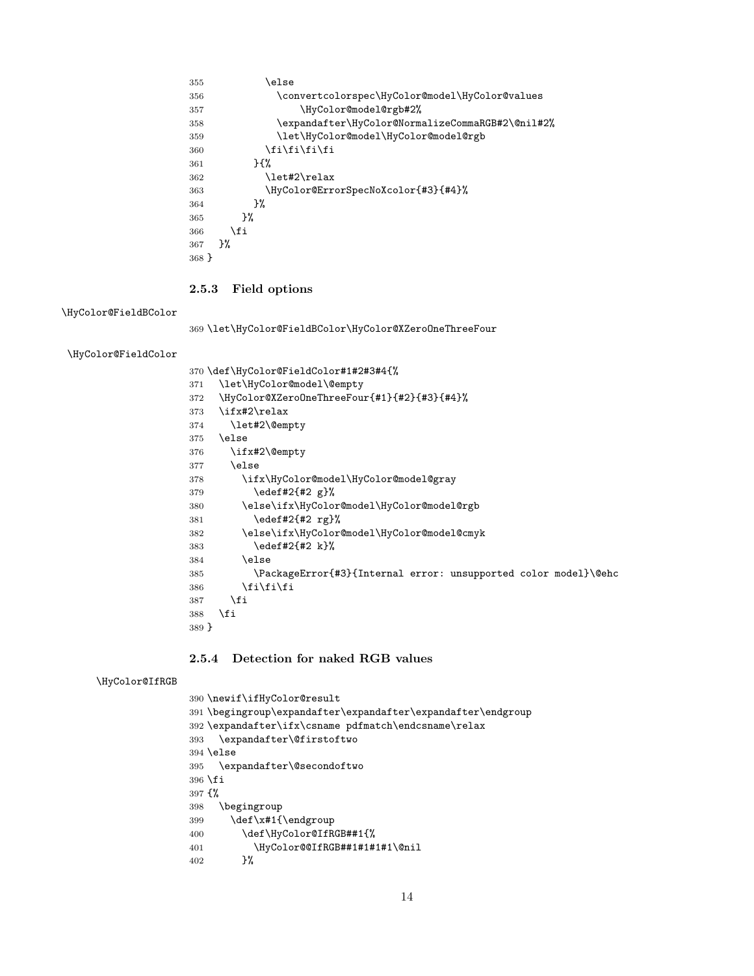<span id="page-13-20"></span><span id="page-13-16"></span><span id="page-13-10"></span><span id="page-13-7"></span>

| 355   | else)                                            |
|-------|--------------------------------------------------|
| 356   | \convertcolorspec\HyColor@model\HyColor@values   |
| 357   | \HyColor@model@rgb#2%                            |
| 358   | \expandafter\HyColor@NormalizeCommaRGB#2\@nil#2% |
| 359   | \let\HyColor@model\HyColor@model@rgb             |
| 360   | \fi\fi\fi\fi                                     |
| 361   | $H^{\prime\prime}$                               |
| 362   | \let#2\relax                                     |
| 363   | \HyColor@ErrorSpecNoXcolor{#3}{#4}%              |
| 364   | }‰                                               |
| 365   | ጉ%                                               |
| 366   | \fi                                              |
| 367   | ጉ%                                               |
| 368 P |                                                  |

#### <span id="page-13-12"></span><span id="page-13-0"></span>2.5.3 Field options

<span id="page-13-13"></span>\HyColor@FieldBColor

<span id="page-13-21"></span>\let\HyColor@FieldBColor\HyColor@XZeroOneThreeFour

<span id="page-13-14"></span>\HyColor@FieldColor

<span id="page-13-24"></span><span id="page-13-22"></span><span id="page-13-18"></span><span id="page-13-17"></span><span id="page-13-5"></span><span id="page-13-4"></span><span id="page-13-3"></span>

|       | 370 \def\HyColor@FieldColor#1#2#3#4{%                           |
|-------|-----------------------------------------------------------------|
| 371   | \let\HyColor@model\@empty                                       |
| 372   | \HyColor@XZeroOneThreeFour{#1}{#2}{#3}{#4}%                     |
| 373   | \ifx#2\relax                                                    |
| 374   | \let#2\@empty                                                   |
| 375   | \else                                                           |
| 376   | \ifx#2\@empty                                                   |
| 377   | \else                                                           |
| 378   | \ifx\HyColor@model\HyColor@model@gray                           |
| 379   | $\text{edeff2}_{#2 g}$                                          |
| 380   | \else\ifx\HyColor@model\HyColor@model@rgb                       |
| 381   | $\text{edeff2f#2 rg}$                                           |
| 382   | \else\ifx\HyColor@model\HyColor@model@cmyk                      |
| 383   | \edef#2{#2 k}%                                                  |
| 384   | \else                                                           |
| 385   | \PackageError{#3}{Internal error: unsupported color model}\@ehc |
| 386   | \fi\fi\fi                                                       |
| 387   | \fi                                                             |
| 388   | \fi                                                             |
| 389 } |                                                                 |

### <span id="page-13-19"></span><span id="page-13-2"></span><span id="page-13-1"></span>2.5.4 Detection for naked RGB values

#### <span id="page-13-15"></span>\HyColor@IfRGB

<span id="page-13-25"></span><span id="page-13-23"></span><span id="page-13-11"></span><span id="page-13-9"></span><span id="page-13-8"></span><span id="page-13-6"></span> \newif\ifHyColor@result \begingroup\expandafter\expandafter\expandafter\endgroup  $392 \exp{andafter\ifx\cosname pdfmatch\end{csname\relax}$  \expandafter\@firstoftwo \else \expandafter\@secondoftwo \fi {% \begingroup 399 \def\x#1{\endgroup \def\HyColor@IfRGB##1{% \HyColor@@IfRGB##1#1#1#1\@nil }%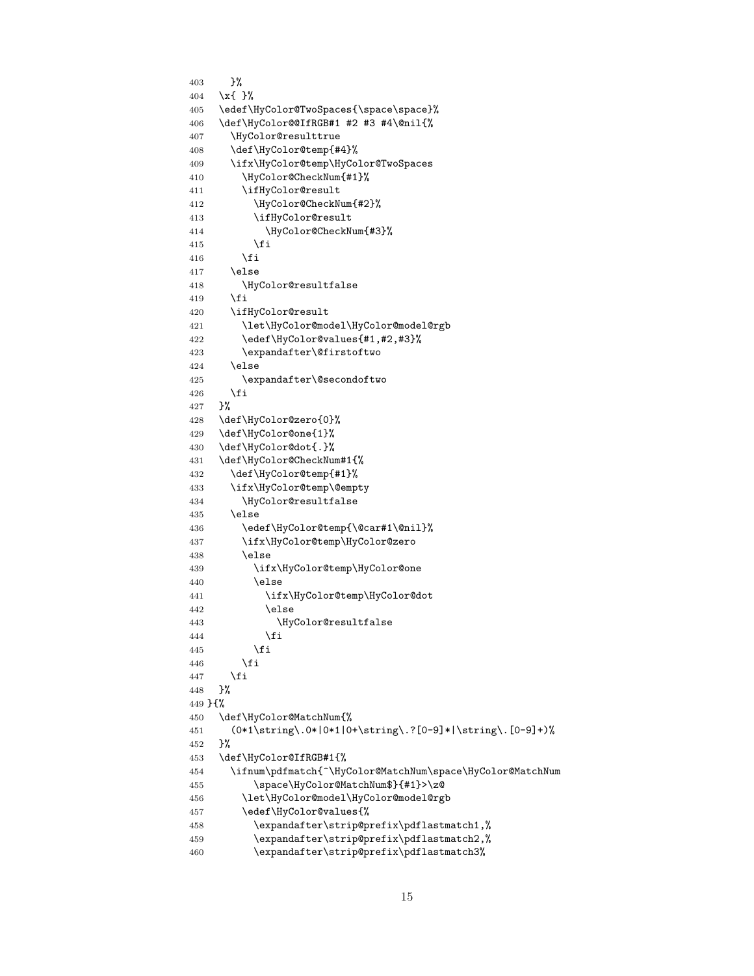```
403 }%
404 \x{ }%
405 \edef\HyColor@TwoSpaces{\space\space}%
406 \def\HyColor@@IfRGB#1 #2 #3 #4\@nil{%
407 \HyColor@resulttrue
408 \def\HyColor@temp{#4}%
409 \ifx\HyColor@temp\HyColor@TwoSpaces
410 \HyColor@CheckNum{#1}%
411 \ifHyColor@result
412 \HyColor@CheckNum{#2}%
413 \ifHyColor@result
414 \HyColor@CheckNum{#3}%
415 \fi
416 \fi
417 \lambdaelse
418 \HyColor@resultfalse
419 \setminusfi
420 \ifHyColor@result
421 \let\HyColor@model\HyColor@model@rgb
422 \edef\HyColor@values{#1,#2,#3}%
423 \expandafter\@firstoftwo
424 \else
425 \expandafter\@secondoftwo
426 \fi
427 }%
428 \def\HyColor@zero{0}%
429 \def\HyColor@one{1}%
430 \def\HyColor@dot{.}%
431 \def\HyColor@CheckNum#1{%
432 \def\HyColor@temp{#1}%
433 \ifx\HyColor@temp\@empty
434 \HyColor@resultfalse
435 \else
436 \edef\HyColor@temp{\@car#1\@nil}%
437 \ifx\HyColor@temp\HyColor@zero
438 \else
439 \ifx\HyColor@temp\HyColor@one
440 \else
441 \ifx\HyColor@temp\HyColor@dot
442 \else
443 \HyColor@resultfalse
444 \overline{11} \fi
445 \fi
446 \fi
447 \fi
448 }%
449 }{%
450 \def\HyColor@MatchNum{%
451 (0*1\string\.0*|0*1|0+\string\.?[0-9]*|\string\.[0-9]+)%
452 }%
453 \def\HyColor@IfRGB#1{%
454 \ifnum\pdfmatch{^\HyColor@MatchNum\space\HyColor@MatchNum
455 \space\HyColor@MatchNum$}{#1}>\z@
456 \let\HyColor@model\HyColor@model@rgb
457 \edef\HyColor@values{%
458 \expandafter\strip@prefix\pdflastmatch1,%
459 \expandafter\strip@prefix\pdflastmatch2,%
460 \expandafter\strip@prefix\pdflastmatch3%
```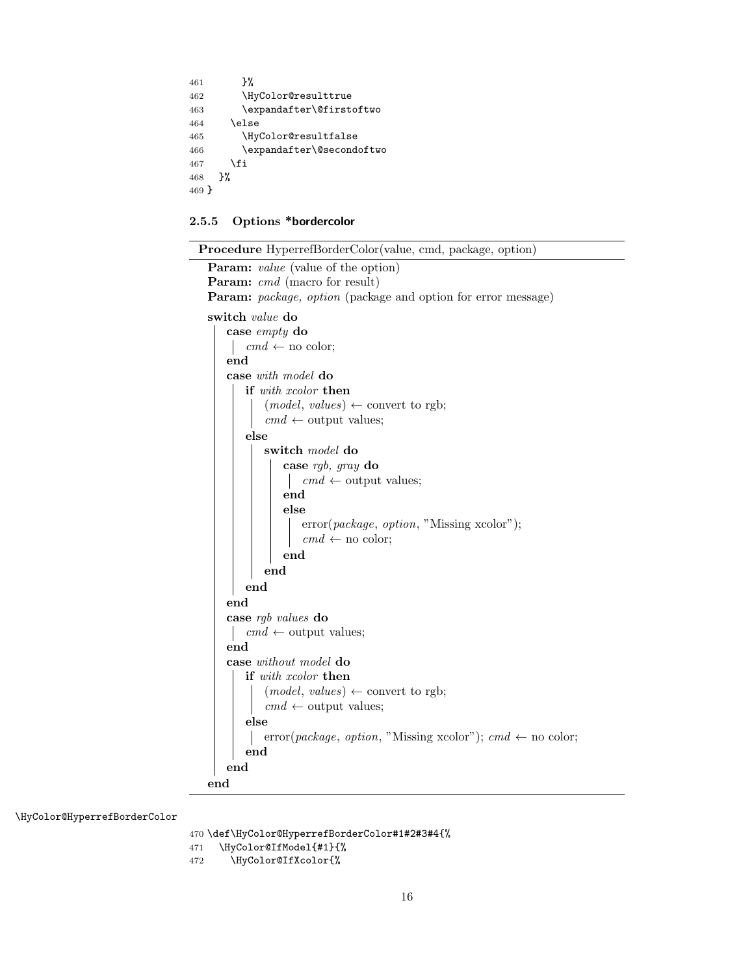```
461 }%
462 \HyColor@resulttrue
463 \expandafter\@firstoftwo
464 \else
465 \HyColor@resultfalse
466 \expandafter\@secondoftwo
467 \big\{\text{fi}468 }%
469 }
```
### <span id="page-15-0"></span>2.5.5 Options \*bordercolor

 $\overline{\phantom{0}}$  $\overline{\phantom{0}}$ 

| <b>Procedure</b> HyperrefBorderColor(value, cmd, package, option)    |
|----------------------------------------------------------------------|
| <b>Param:</b> value (value of the option)                            |
| <b>Param:</b> cmd (macro for result)                                 |
| <b>Param:</b> package, option (package and option for error message) |
| switch <i>value</i> do                                               |
| case $empty$ do                                                      |
| $cmd \leftarrow no color;$                                           |
| end                                                                  |
| case with model do                                                   |
| if with xcolor then                                                  |
| $(model, values) \leftarrow convert to rgb;$                         |
| $cmd \leftarrow output \text{ values};$                              |
| else                                                                 |
| switch model do                                                      |
| case $rgb, gray$ do                                                  |
| $cmd \leftarrow output \text{ values};$                              |
| end                                                                  |
| else                                                                 |
| error(package, option, "Missing xcolor");                            |
| $cmd \leftarrow no color;$                                           |
| end                                                                  |
| end                                                                  |
| end                                                                  |
| end                                                                  |
| case rgb values do                                                   |
| $cmd \leftarrow output \text{ values};$                              |
| end                                                                  |
| case without model do                                                |
| <b>if</b> with xcolor <b>then</b>                                    |
| $(model, values) \leftarrow convert to rgb;$                         |
| $cmd \leftarrow output \text{ values};$                              |
| else                                                                 |
| error(package, option, "Missing xcolor"); cmd $\leftarrow$ no color; |
| end                                                                  |
| end                                                                  |
| end                                                                  |
|                                                                      |

<span id="page-15-3"></span>\HyColor@HyperrefBorderColor

470 \def\HyColor@HyperrefBorderColor#1#2#3#4{%

```
471 \HyColor@IfModel{#1}{%
```

```
472 \HyColor@IfXcolor{%
```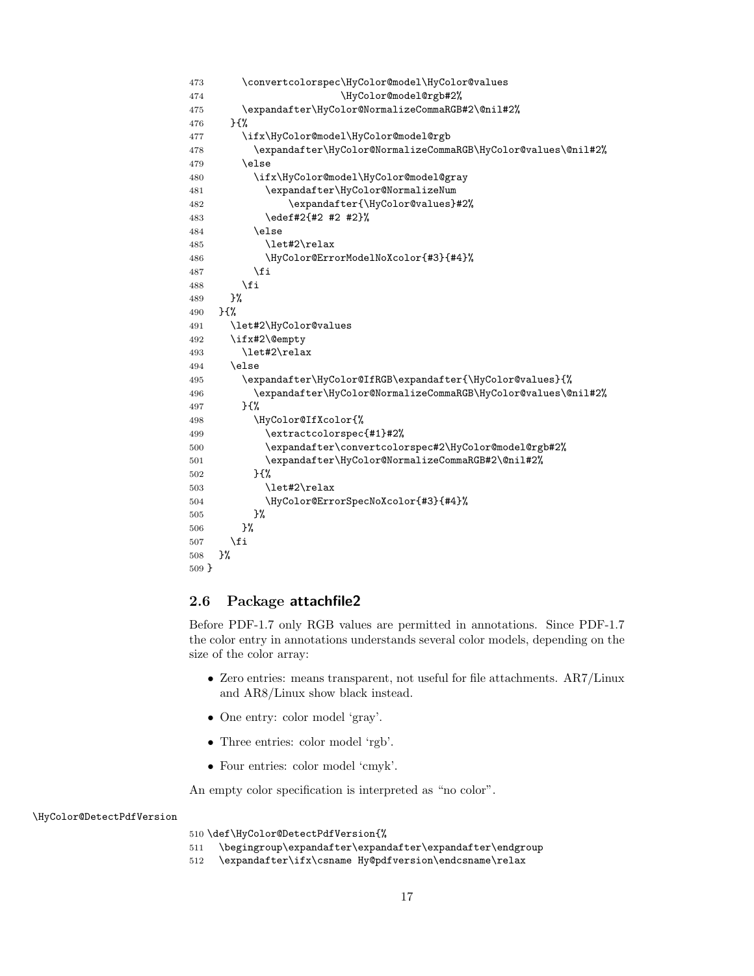```
473 \convertcolorspec\HyColor@model\HyColor@values
474 \HyColor@model@rgb#2%
475 \expandafter\HyColor@NormalizeCommaRGB#2\@nil#2%
476 }{%
477 \ifx\HyColor@model\HyColor@model@rgb
478 \expandafter\HyColor@NormalizeCommaRGB\HyColor@values\@nil#2%
479 \else
480 \ifx\HyColor@model\HyColor@model@gray
481 \expandafter\HyColor@NormalizeNum
482 \expandafter{\HyColor@values}#2%
483 \edef#2{#2 #2 #2}%
484 \else
485 \let#2\relax
486 \HyColor@ErrorModelNoXcolor{#3}{#4}%
487 \fi
488 \fi
489 }%
490 }{%
491 \let#2\HyColor@values
492 \ifx#2\@empty
493 \let#2\relax
494 \else
495 \expandafter\HyColor@IfRGB\expandafter{\HyColor@values}{%
496 \expandafter\HyColor@NormalizeCommaRGB\HyColor@values\@nil#2%
497 }{%
498 \HyColor@IfXcolor{%
499 \extractcolorspec{#1}#2%
500 \expandafter\convertcolorspec#2\HyColor@model@rgb#2%
501 \expandafter\HyColor@NormalizeCommaRGB#2\@nil#2%
502 }{%
503 \let#2\relax
504 \HyColor@ErrorSpecNoXcolor{#3}{#4}%
505 }%
506 }%
507 \fi
508 }%
509 }
```
#### <span id="page-16-14"></span><span id="page-16-13"></span><span id="page-16-12"></span><span id="page-16-9"></span><span id="page-16-7"></span><span id="page-16-5"></span><span id="page-16-4"></span><span id="page-16-0"></span>2.6 Package attachfile2

Before PDF-1.7 only RGB values are permitted in annotations. Since PDF-1.7 the color entry in annotations understands several color models, depending on the size of the color array:

- Zero entries: means transparent, not useful for file attachments. AR7/Linux and AR8/Linux show black instead.
- One entry: color model 'gray'.
- Three entries: color model 'rgb'.
- Four entries: color model 'cmyk'.

An empty color specification is interpreted as "no color".

<span id="page-16-10"></span>\HyColor@DetectPdfVersion

\def\HyColor@DetectPdfVersion{%

- \begingroup\expandafter\expandafter\expandafter\endgroup
- <span id="page-16-8"></span>\expandafter\ifx\csname Hy@pdfversion\endcsname\relax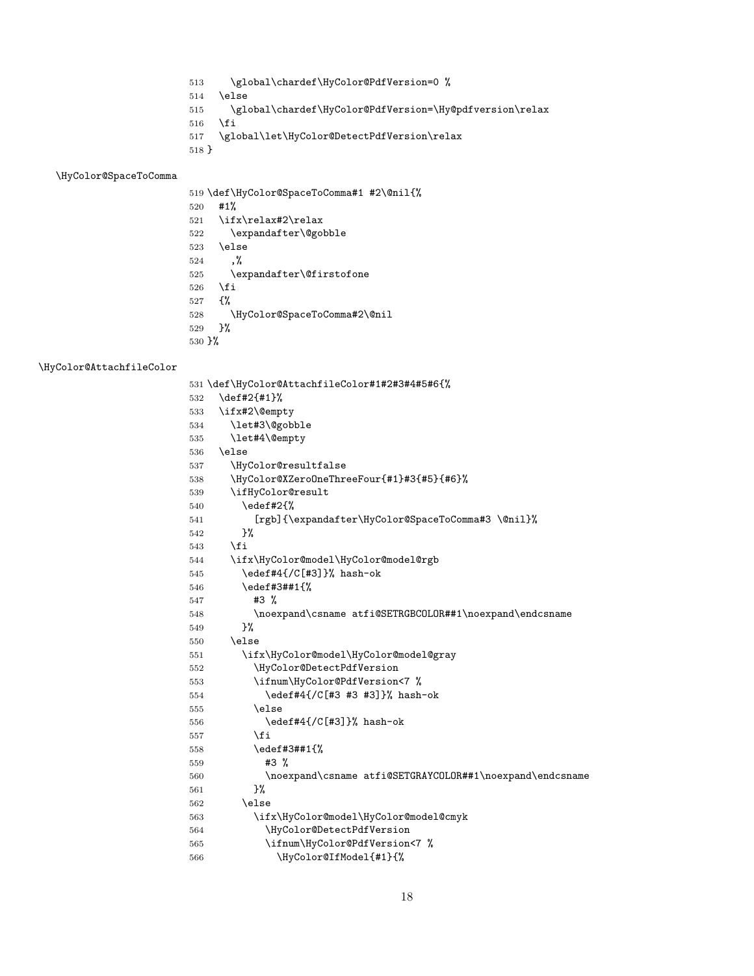- <span id="page-17-8"></span>\global\chardef\HyColor@PdfVersion=0 %
- \else
- <span id="page-17-9"></span>\global\chardef\HyColor@PdfVersion=\Hy@pdfversion\relax
- 516  $\overline{f}$
- \global\let\HyColor@DetectPdfVersion\relax
- }

### <span id="page-17-22"></span>\HyColor@SpaceToComma

<span id="page-17-25"></span><span id="page-17-5"></span><span id="page-17-3"></span><span id="page-17-2"></span>

|                                 | 519 \def\HyColor@SpaceToComma#1 #2\@nil{% |
|---------------------------------|-------------------------------------------|
| 520                             | #1%                                       |
| 521                             | \ifx\relax#2\relax                        |
| 522                             | \expandafter\@gobble                      |
| 523                             | \else                                     |
| 524                             | . %                                       |
| 525                             | \expandafter\@firstofone                  |
| 526                             | \fi                                       |
| 527                             | - ና%                                      |
| 528                             | \HyColor@SpaceToComma#2\@nil              |
| 529                             | ጉ%                                        |
| $530 \frac{\text{M}}{\text{S}}$ |                                           |

#### <span id="page-17-12"></span>\HyColor@AttachfileColor

<span id="page-17-24"></span><span id="page-17-23"></span><span id="page-17-21"></span><span id="page-17-20"></span><span id="page-17-19"></span><span id="page-17-18"></span><span id="page-17-17"></span><span id="page-17-16"></span><span id="page-17-15"></span><span id="page-17-14"></span><span id="page-17-13"></span><span id="page-17-11"></span><span id="page-17-10"></span><span id="page-17-7"></span><span id="page-17-6"></span><span id="page-17-4"></span><span id="page-17-1"></span><span id="page-17-0"></span>

|     | 531 \def\HyColor@AttachfileColor#1#2#3#4#5#6{%           |
|-----|----------------------------------------------------------|
| 532 | \def#2{#1}%                                              |
| 533 | \ifx#2\@empty                                            |
| 534 | \let#3\@gobble                                           |
| 535 | \let#4\@empty                                            |
| 536 | \else                                                    |
| 537 | \HyColor@resultfalse                                     |
| 538 | \HyColor@XZeroOneThreeFour{#1}#3{#5}{#6}%                |
| 539 | \ifHyColor@result                                        |
| 540 | \edef#2{%                                                |
| 541 | [rgb]{\expandafter\HyColor@SpaceToComma#3 \@nil}%        |
| 542 | ን%                                                       |
| 543 | \fi                                                      |
| 544 | \ifx\HyColor@model\HyColor@model@rgb                     |
| 545 | \edef#4{/C[#3]}% hash-ok                                 |
| 546 | \edef#3##1{%                                             |
| 547 | $#3$ %                                                   |
| 548 | \noexpand\csname atfi@SETRGBCOLOR##1\noexpand\endcsname  |
| 549 | }%                                                       |
| 550 | \else                                                    |
| 551 | \ifx\HyColor@model\HyColor@model@gray                    |
| 552 | \HyColor@DetectPdfVersion                                |
| 553 | \ifnum\HyColor@PdfVersion<7 %                            |
| 554 | \edef#4{/C[#3 #3 #3]}% hash-ok                           |
| 555 | \else                                                    |
| 556 | \edef#4{/C[#3]}% hash-ok                                 |
| 557 | \fi                                                      |
| 558 | \edef#3##1{%                                             |
| 559 | #3 %                                                     |
| 560 | \noexpand\csname atfi@SETGRAYCOLOR##1\noexpand\endcsname |
| 561 | ጉ%                                                       |
| 562 | \else                                                    |
| 563 | \ifx\HyColor@model\HyColor@model@cmyk                    |
| 564 | \HyColor@DetectPdfVersion                                |
| 565 | \ifnum\HyColor@PdfVersion<7 %                            |
| 566 | \HyColor@IfModel{#1}{%                                   |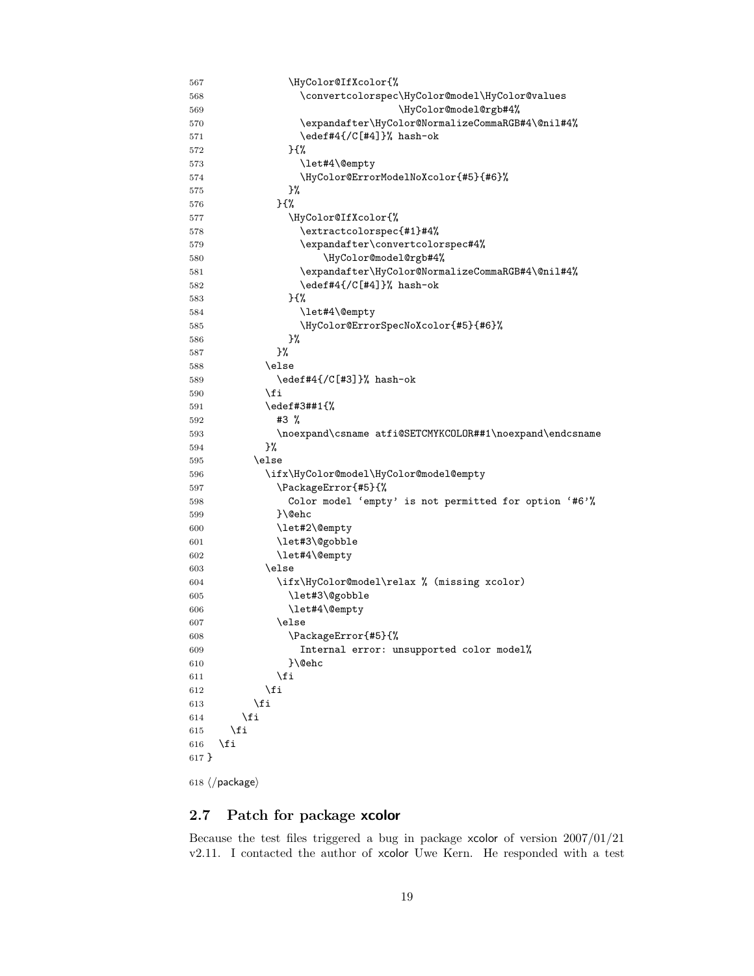<span id="page-18-23"></span><span id="page-18-22"></span><span id="page-18-19"></span><span id="page-18-18"></span><span id="page-18-17"></span><span id="page-18-16"></span><span id="page-18-15"></span><span id="page-18-13"></span><span id="page-18-12"></span><span id="page-18-11"></span><span id="page-18-10"></span><span id="page-18-4"></span><span id="page-18-3"></span>

| 567   | \HyColor@IfXcolor{%                                      |
|-------|----------------------------------------------------------|
| 568   | \convertcolorspec\HyColor@model\HyColor@values           |
| 569   | \HyColor@model@rgb#4%                                    |
| 570   | \expandafter\HyColor@NormalizeCommaRGB#4\@nil#4%         |
| 571   | \edef#4{/C[#4]}% hash-ok                                 |
| 572   | } {%                                                     |
| 573   | \let#4\@empty                                            |
| 574   | \HyColor@ErrorModelNoXcolor{#5}{#6}%                     |
| 575   | }%                                                       |
| 576   | } {%                                                     |
| 577   | \HyColor@IfXcolor{%                                      |
| 578   | \extractcolorspec{#1}#4%                                 |
| 579   | \expandafter\convertcolorspec#4%                         |
| 580   | \HyColor@model@rgb#4%                                    |
| 581   | \expandafter\HyColor@NormalizeCommaRGB#4\@nil#4%         |
| 582   | \edef#4{/C[#4]}% hash-ok                                 |
| 583   | } {%                                                     |
| 584   | \let#4\@empty                                            |
| 585   | \HyColor@ErrorSpecNoXcolor{#5}{#6}%                      |
| 586   | }%                                                       |
| 587   | }‰                                                       |
| 588   | \else                                                    |
| 589   | \edef#4{/C[#3]}% hash-ok                                 |
| 590   | \fi                                                      |
| 591   | \edef#3##1{%                                             |
| 592   | #3 %                                                     |
| 593   | \noexpand\csname atfi@SETCMYKCOLOR##1\noexpand\endcsname |
| 594   | }%                                                       |
| 595   | \else                                                    |
| 596   | \ifx\HyColor@model\HyColor@model@empty                   |
| 597   | \PackageError{#5}{%                                      |
| 598   | Color model 'empty' is not permitted for option '#6'%    |
| 599   | }\@ehc                                                   |
| 600   | \let#2\@empty                                            |
| 601   | \let#3\@gobble                                           |
| 602   | \let#4\@empty                                            |
| 603   | \else                                                    |
| 604   | \ifx\HyColor@model\relax % (missing xcolor)              |
| 605   | \let#3\@gobble                                           |
| 606   | \let#4\@empty                                            |
| 607   | \else                                                    |
| 608   | \PackageError{#5}{%                                      |
| 609   | Internal error: unsupported color model%                 |
| 610   | }\@ehc                                                   |
| 611   | \fi                                                      |
| 612   | \fi                                                      |
| 613   | \fi                                                      |
| 614   | \fi                                                      |
| 615   | \fi                                                      |
| 616   | \fi                                                      |
| 617 } |                                                          |
|       |                                                          |

```
618 \langle/package\rangle
```
## <span id="page-18-0"></span>2.7 Patch for package xcolor

Because the test files triggered a bug in package xcolor of version 2007/01/21 v2.11. I contacted the author of xcolor Uwe Kern. He responded with a test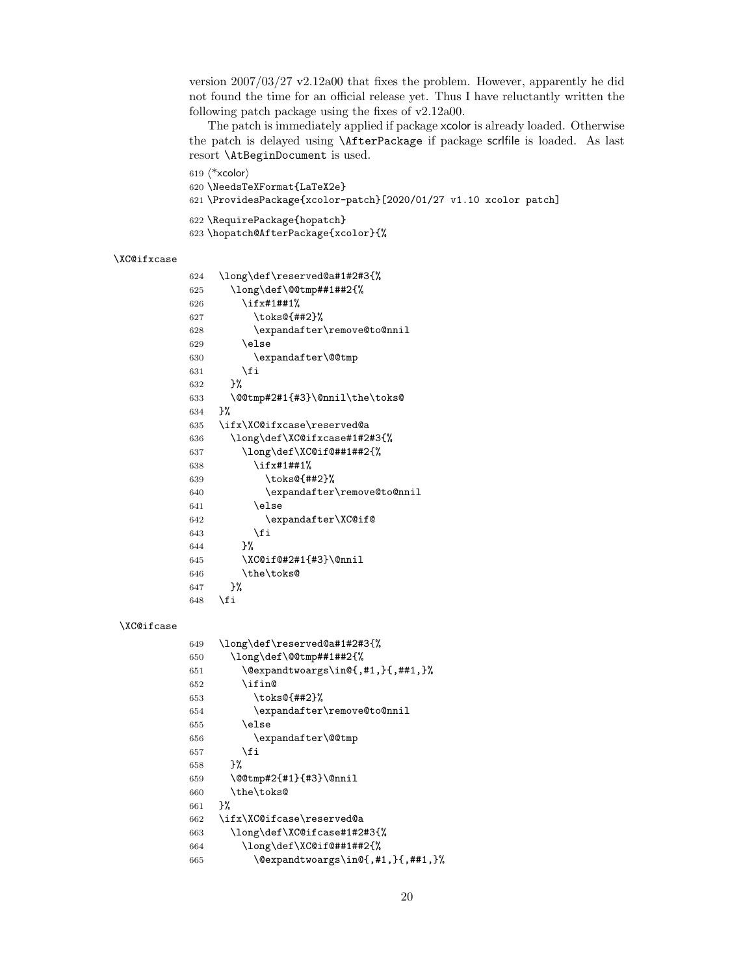version 2007/03/27 v2.12a00 that fixes the problem. However, apparently he did not found the time for an official release yet. Thus I have reluctantly written the following patch package using the fixes of v2.12a00.

The patch is immediately applied if package xcolor is already loaded. Otherwise the patch is delayed using \AfterPackage if package scrlfile is loaded. As last resort \AtBeginDocument is used.

```
619 \langle*xcolor\rangle620 \NeedsTeXFormat{LaTeX2e}
621 \ProvidesPackage{xcolor-patch}[2020/01/27 v1.10 xcolor patch]
622 \RequirePackage{hopatch}
623 \hopatch@AfterPackage{xcolor}{%
```
#### <span id="page-19-32"></span>\XC@ifxcase

<span id="page-19-28"></span><span id="page-19-25"></span><span id="page-19-21"></span><span id="page-19-17"></span><span id="page-19-12"></span><span id="page-19-11"></span><span id="page-19-9"></span><span id="page-19-2"></span><span id="page-19-1"></span><span id="page-19-0"></span>

| 624 | \long\def\reserved@a#1#2#3{%   |
|-----|--------------------------------|
| 625 | \long\def\@@tmp##1##2{%        |
| 626 | \ifx#1##1%                     |
| 627 | \toks@{##2}%                   |
| 628 | \expandafter\remove@to@nnil    |
| 629 | \else                          |
| 630 | \expandafter\@@tmp             |
| 631 | \fi                            |
| 632 | ጉ%                             |
| 633 | \@@tmp#2#1{#3}\@nnil\the\toks@ |
| 634 | ጉ%                             |
| 635 | \ifx\XC@ifxcase\reserved@a     |
| 636 | \long\def\XC@ifxcase#1#2#3{%   |
| 637 | \long\def\XC@if@##1##2{%       |
| 638 | \ifx#1##1%                     |
| 639 | \toks@{##2}%                   |
| 640 | \expandafter\remove@to@nnil    |
| 641 | \else                          |
| 642 | \expandafter\XC@if@            |
| 643 | \fi                            |
| 644 | }‰                             |
| 645 | \XC@if@#2#1{#3}\@nnil          |
| 646 | \the\toks@                     |
| 647 | ጉ%                             |
| 648 | \fi                            |
|     |                                |

#### <span id="page-19-31"></span><span id="page-19-29"></span><span id="page-19-26"></span><span id="page-19-18"></span><span id="page-19-13"></span>\XC@ifcase

<span id="page-19-30"></span><span id="page-19-27"></span><span id="page-19-24"></span><span id="page-19-23"></span><span id="page-19-22"></span><span id="page-19-19"></span><span id="page-19-14"></span><span id="page-19-10"></span><span id="page-19-8"></span><span id="page-19-7"></span><span id="page-19-6"></span><span id="page-19-5"></span><span id="page-19-4"></span><span id="page-19-3"></span>

| 649 | \long\def\reserved@a#1#2#3{%                         |
|-----|------------------------------------------------------|
| 650 | \long\def\@@tmp##1##2{%                              |
| 651 | \@expandtwoargs\in@{,#1,}{,##1,}%                    |
| 652 | <b>\ifin@</b>                                        |
| 653 | \toks@{##2}%                                         |
| 654 | \expandafter\remove@to@nnil                          |
| 655 | \else                                                |
| 656 | \expandafter\@@tmp                                   |
| 657 | \fi                                                  |
| 658 | ጉ%                                                   |
| 659 | \@@tmp#2{#1}{#3}\@nnil                               |
| 660 | \the\toks@                                           |
| 661 | ጉ%                                                   |
| 662 | \ifx\XC@ifcase\reserved@a                            |
| 663 | \long\def\XC@ifcase#1#2#3{%                          |
| 664 | \long\def\XC@if@##1##2{%                             |
| 665 | $\text{Qexpandtwoargs}\in\{4, 4, 1, 1, 4, 4, 1, 1\}$ |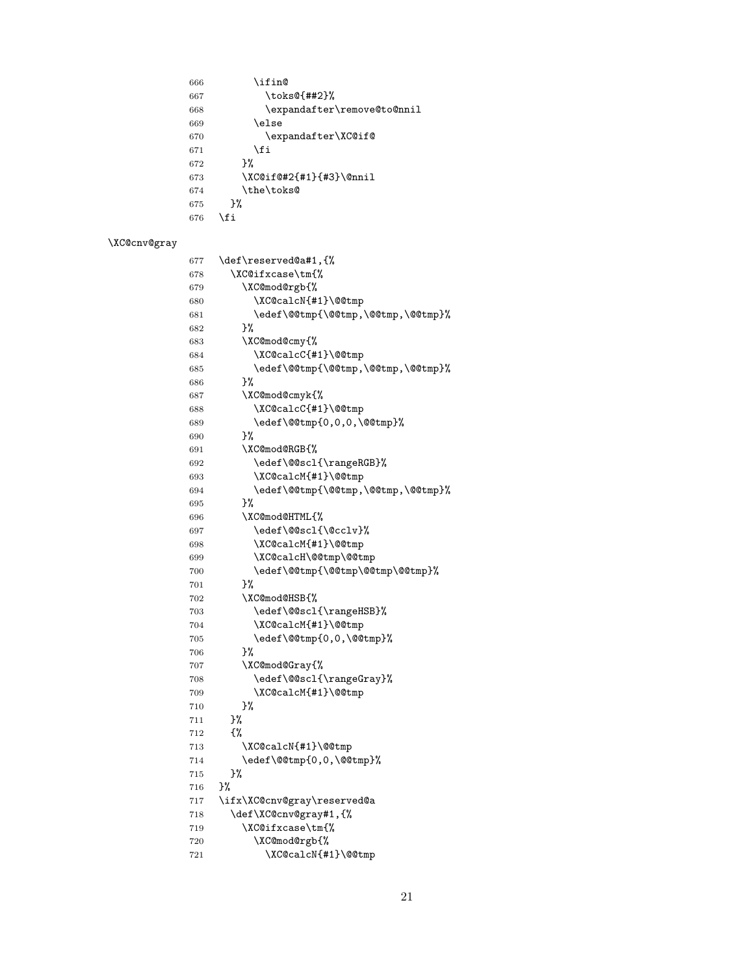<span id="page-20-31"></span><span id="page-20-29"></span><span id="page-20-24"></span><span id="page-20-22"></span> \ifin@<br> $667$  \toks \toks@{##2}% \expandafter\remove@to@nnil \else \expandafter\XC@if@ 671 \fi<br>672 }%  $\begin{array}{c} 672 \\ 673 \end{array}$ 673 \XC@if@#2{#1}{#3}\@nnil<br>674 \the\toks@  $\label{thm:rel} $$ \the\toks@ \}$  $675\,$ 676 \fi

## <span id="page-20-30"></span>\XC@cnv@gray

<span id="page-20-39"></span><span id="page-20-38"></span><span id="page-20-37"></span><span id="page-20-36"></span><span id="page-20-35"></span><span id="page-20-34"></span><span id="page-20-33"></span><span id="page-20-32"></span><span id="page-20-28"></span><span id="page-20-27"></span><span id="page-20-26"></span><span id="page-20-25"></span><span id="page-20-23"></span><span id="page-20-21"></span><span id="page-20-20"></span><span id="page-20-19"></span><span id="page-20-18"></span><span id="page-20-17"></span><span id="page-20-16"></span><span id="page-20-15"></span><span id="page-20-14"></span><span id="page-20-13"></span><span id="page-20-12"></span><span id="page-20-11"></span><span id="page-20-10"></span><span id="page-20-9"></span><span id="page-20-8"></span><span id="page-20-7"></span><span id="page-20-6"></span><span id="page-20-5"></span><span id="page-20-4"></span><span id="page-20-3"></span><span id="page-20-2"></span><span id="page-20-1"></span><span id="page-20-0"></span>

| 677 | \def\reserved@a#1,{%               |
|-----|------------------------------------|
| 678 | \XC@ifxcase\tm{%                   |
| 679 | \XC@mod@rgb{%                      |
| 680 | \XC@calcN{#1}\@@tmp                |
| 681 | \edef\@@tmp{\@@tmp,\@@tmp,\@@tmp}% |
| 682 | }%                                 |
| 683 | \XC@mod@cmy{%                      |
| 684 | \XC@calcC{#1}\@@tmp                |
| 685 | \edef\@@tmp{\@@tmp,\@@tmp,\@@tmp}% |
| 686 | }‰                                 |
| 687 | \XC@mod@cmyk{%                     |
| 688 | \XC@calcC{#1}\@@tmp                |
| 689 | \edef\@@tmp{0,0,0,\@@tmp}%         |
| 690 | }%                                 |
| 691 | \XC@mod@RGB{%                      |
| 692 | \edef\@@scl{\rangeRGB}%            |
| 693 | \XC@calcM{#1}\@@tmp                |
| 694 | \edef\@@tmp{\@@tmp,\@@tmp,\@@tmp}% |
| 695 | }‰                                 |
| 696 | \XC@mod@HTML{%                     |
| 697 | \edef\@@scl{\@cclv}%               |
| 698 | \XC@calcM{#1}\@@tmp                |
| 699 | \XC@calcH\@@tmp\@@tmp              |
| 700 | \edef\@@tmp{\@@tmp\@@tmp\@@tmp}%   |
| 701 | }%                                 |
| 702 | \XC@mod@HSB{%                      |
| 703 | \edef\@@scl{\rangeHSB}%            |
| 704 | \XC@calcM{#1}\@@tmp                |
| 705 | \edef\@@tmp{0,0,\@@tmp}%           |
| 706 | }‰                                 |
| 707 | \XC@mod@Gray{%                     |
| 708 | \edef\@@scl{\rangeGray}%           |
| 709 | \XC@calcM{#1}\@@tmp                |
| 710 | }%                                 |
| 711 | }%                                 |
| 712 | £%                                 |
| 713 | \XC@calcN{#1}\@@tmp                |
| 714 | \edef\@@tmp{0,0,\@@tmp}%           |
| 715 | }%                                 |
| 716 | }%                                 |
| 717 | \ifx\XC@cnv@gray\reserved@a        |
| 718 | \def\XC@cnv@gray#1,{%              |
| 719 | \XC@ifxcase\tm{%                   |
| 720 | \XC@mod@rgb{%                      |
| 721 | \XC@calcN{#1}\@@tmp                |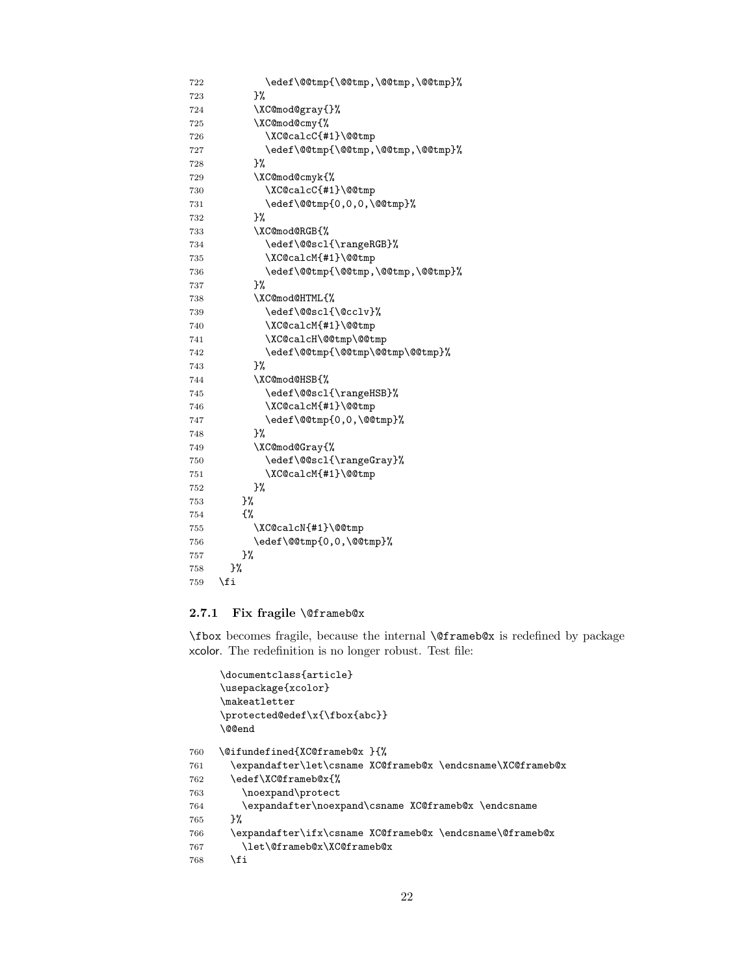```
722 \edef\@@tmp{\@@tmp,\@@tmp,\@@tmp}%
723 }%
724 \XC@mod@gray{}%
725 \XC@mod@cmy{%
726 \XC@calcC{#1}\@@tmp
727 \edef\@@tmp{\@@tmp,\@@tmp,\@@tmp}%
728 }%
729 \XC@mod@cmyk{%
730 \XC@calcC{#1}\@@tmp
731 \edef\@@tmp{0,0,0,\@@tmp}%
732 }%
733 \XC@mod@RGB{%
734 \edef\@@scl{\rangeRGB}%
735 \XC@calcM{#1}\@@tmp
736 \edef\@@tmp{\@@tmp,\@@tmp,\@@tmp}%
737 }%
738 \XC@mod@HTML{%
739 \edef\@@scl{\@cclv}%
740 \XC@calcM{#1}\@@tmp
741 \XC@calcH\@@tmp\@@tmp
742 \edef\@@tmp{\@@tmp\@@tmp\@@tmp}%
743 }%
744 \XC@mod@HSB{%
745 \edef\@@scl{\rangeHSB}%
746 \XC@calcM{#1}\@@tmp
747 \edef\@@tmp{0,0,\@@tmp}%
748 }%
749 \XC@mod@Gray{%
750 \edef\@@scl{\rangeGray}%
751 \XC@calcM{#1}\@@tmp
752 }%
753 }%
754 {%
755 \XC@calcN{#1}\@@tmp
756 \edef\@@tmp{0,0,\@@tmp}%
757 }%
758 }%
759 \fi
```
#### <span id="page-21-31"></span><span id="page-21-29"></span><span id="page-21-19"></span><span id="page-21-18"></span><span id="page-21-17"></span><span id="page-21-16"></span><span id="page-21-15"></span><span id="page-21-14"></span><span id="page-21-4"></span><span id="page-21-3"></span><span id="page-21-0"></span>2.7.1 Fix fragile \@frameb@x

\fbox becomes fragile, because the internal \@frameb@x is redefined by package xcolor. The redefinition is no longer robust. Test file:

```
\documentclass{article}
     \usepackage{xcolor}
     \makeatletter
     \protected@edef\x{\fbox{abc}}
     \@@end
760 \@ifundefined{XC@frameb@x }{%
761 \expandafter\let\csname XC@frameb@x \endcsname\XC@frameb@x
762 \edef\XC@frameb@x{%
763 \noexpand\protect
764 \expandafter\noexpand\csname XC@frameb@x \endcsname
765 }%
766 \expandafter\ifx\csname XC@frameb@x \endcsname\@frameb@x
767 \let\@frameb@x\XC@frameb@x
768 \fi
```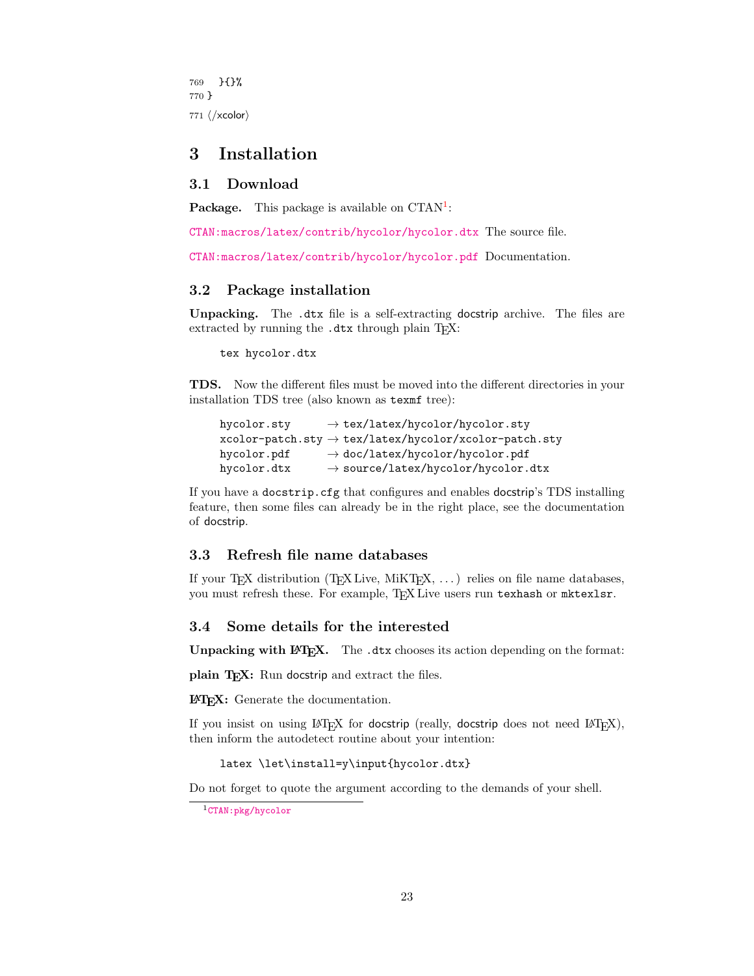769 }{}% 770 } 771  $\langle xcolor\rangle$ 

## <span id="page-22-0"></span>3 Installation

#### <span id="page-22-1"></span>3.1 Download

**Package.** This package is available on  $CTAN^1$  $CTAN^1$ :

[CTAN:macros/latex/contrib/hycolor/hycolor.dtx](https://ctan.org/tex-archive/macros/latex/contrib/hycolor/hycolor.dtx) The source file.

[CTAN:macros/latex/contrib/hycolor/hycolor.pdf](https://ctan.org/tex-archive/macros/latex/contrib/hycolor/hycolor.pdf) Documentation.

#### <span id="page-22-2"></span>3.2 Package installation

Unpacking. The .dtx file is a self-extracting docstrip archive. The files are extracted by running the .dtx through plain T<sub>E</sub>X:

tex hycolor.dtx

TDS. Now the different files must be moved into the different directories in your installation TDS tree (also known as texmf tree):

```
hycolor.sty → tex/latex/hycolor/hycolor.sty
xcolor-patch.sty \rightarrow tex/lates/hycolor/xcolor-patch.styhycolor.pdf → doc/latex/hycolor/hycolor.pdf
hycolor.dtx \rightarrow source/lates/hycolor/hycolor.dtx
```
If you have a docstrip.cfg that configures and enables docstrip's TDS installing feature, then some files can already be in the right place, see the documentation of docstrip.

### <span id="page-22-3"></span>3.3 Refresh file name databases

If your T<sub>E</sub>X distribution (T<sub>E</sub>X Live, MiKT<sub>E</sub>X,  $\ldots$ ) relies on file name databases, you must refresh these. For example, TFX Live users run texhash or mktexlsr.

#### <span id="page-22-4"></span>3.4 Some details for the interested

Unpacking with LAT<sub>E</sub>X. The .dtx chooses its action depending on the format:

plain T<sub>E</sub>X: Run docstrip and extract the files.

LATEX: Generate the documentation.

If you insist on using  $L^2T_FX$  for docstrip (really, docstrip does not need  $L^2T_FX$ ), then inform the autodetect routine about your intention:

latex \let\install=y\input{hycolor.dtx}

Do not forget to quote the argument according to the demands of your shell.

<span id="page-22-5"></span><sup>1</sup>[CTAN:pkg/hycolor](http://ctan.org/pkg/hycolor)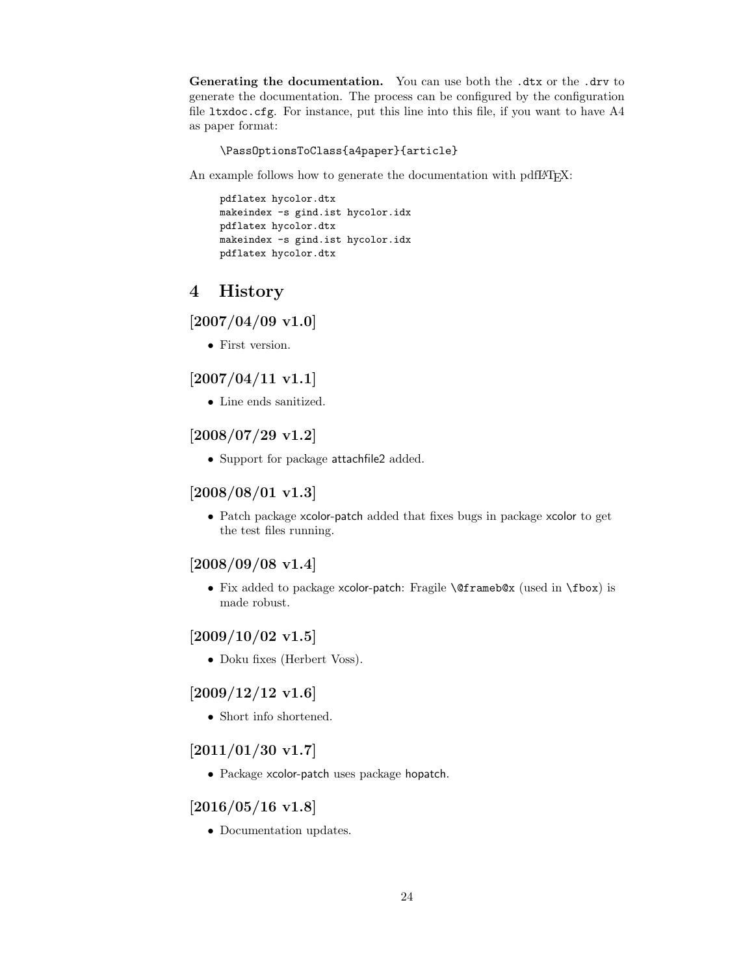Generating the documentation. You can use both the .dtx or the .drv to generate the documentation. The process can be configured by the configuration file ltxdoc.cfg. For instance, put this line into this file, if you want to have A4 as paper format:

\PassOptionsToClass{a4paper}{article}

An example follows how to generate the documentation with pdfIAT<sub>E</sub>X:

pdflatex hycolor.dtx makeindex -s gind.ist hycolor.idx pdflatex hycolor.dtx makeindex -s gind.ist hycolor.idx pdflatex hycolor.dtx

## <span id="page-23-0"></span>4 History

<span id="page-23-1"></span> $[2007/04/09 \text{ v}1.0]$ 

• First version.

## <span id="page-23-2"></span> $[2007/04/11 \text{ v}1.1]$

• Line ends sanitized.

## <span id="page-23-3"></span>[2008/07/29 v1.2]

• Support for package attachfile2 added.

## <span id="page-23-4"></span> $[2008/08/01 v1.3]$

• Patch package xcolor-patch added that fixes bugs in package xcolor to get the test files running.

## <span id="page-23-5"></span>[2008/09/08 v1.4]

• Fix added to package xcolor-patch: Fragile \@frameb@x (used in \fbox) is made robust.

## <span id="page-23-6"></span> $[2009/10/02 \text{ v}1.5]$

• Doku fixes (Herbert Voss).

## <span id="page-23-7"></span> $[2009/12/12 \text{ v}1.6]$

• Short info shortened.

## <span id="page-23-8"></span> $[2011/01/30 v1.7]$

• Package xcolor-patch uses package hopatch.

### <span id="page-23-9"></span> $[2016/05/16 \text{ v}1.8]$

• Documentation updates.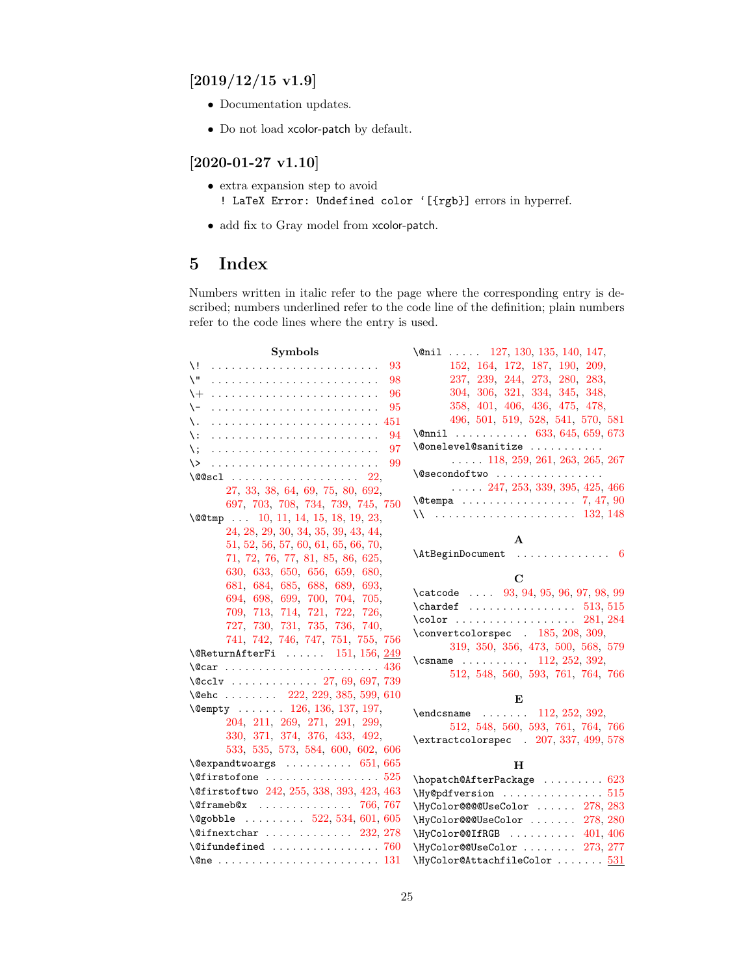## <span id="page-24-0"></span> $[2019/12/15 \text{ v}1.9]$

- Documentation updates.
- Do not load xcolor-patch by default.

## <span id="page-24-1"></span>[2020-01-27 v1.10]

- extra expansion step to avoid ! LaTeX Error: Undefined color '[{rgb}] errors in hyperref.
- add fix to Gray model from xcolor-patch.

## <span id="page-24-2"></span>5 Index

Numbers written in italic refer to the page where the corresponding entry is described; numbers underlined refer to the code line of the definition; plain numbers refer to the code lines where the entry is used.

| Symbols                                                        | \@nil  127, 130, 135, 140, 147,                                                 |
|----------------------------------------------------------------|---------------------------------------------------------------------------------|
| \!<br>93                                                       | 152, 164, 172, 187, 190, 209,                                                   |
| Л.<br>98                                                       | 237, 239, 244, 273, 280, 283,                                                   |
| 96<br>$\setminus +$                                            | 304, 306, 321, 334, 345, 348,                                                   |
| 95<br>\-                                                       | 358, 401, 406, 436, 475, 478,                                                   |
| 451<br>\.                                                      | 496, 501, 519, 528, 541, 570, 581                                               |
| 94<br>\ :                                                      | $\text{Onnil}$ 633, 645, 659, 673                                               |
| 97<br>\;                                                       | \@onelevel@sanitize                                                             |
| 99<br>$\setminus$                                              | $\ldots$ 118, 259, 261, 263, 265, 267                                           |
|                                                                | \@secondoftwo                                                                   |
| 27, 33, 38, 64, 69, 75, 80, 692,                               | $\ldots$ 247, 253, 339, 395, 425, 466                                           |
| 697, 703, 708, 734, 739, 745, 750                              |                                                                                 |
| $\text{QQtmp}$ . 10, 11, 14, 15, 18, 19, 23,                   |                                                                                 |
| 24, 28, 29, 30, 34, 35, 39, 43, 44,                            | A                                                                               |
| 51, 52, 56, 57, 60, 61, 65, 66, 70,                            | $\Lambda t$ BeginDocument  6                                                    |
| 71, 72, 76, 77, 81, 85, 86, 625,                               |                                                                                 |
| 630, 633, 650, 656, 659, 680,                                  | $\mathbf C$                                                                     |
| 681, 684, 685, 688, 689, 693,                                  | \catcode  93, 94, 95, 96, 97, 98, 99                                            |
| 694, 698, 699, 700, 704, 705,                                  |                                                                                 |
| 709, 713, 714, 721, 722, 726,                                  | $\cdot \cdot \cdot \cdot \cdot \cdot \cdot \cdot \cdot \cdot \cdot$<br>281, 284 |
| 727, 730, 731, 735, 736, 740,                                  | \convertcolorspec . 185, 208, 309,                                              |
| 741, 742, 746, 747, 751, 755, 756                              | 319, 350, 356, 473, 500, 568, 579                                               |
| $\text{QReturnAfterFi} \dots 151, 156, 249$                    | \csname $\ldots \ldots \ldots$ 112, 252, 392,                                   |
|                                                                | 512, 548, 560, 593, 761, 764, 766                                               |
| $\sqrt{cclv}$ 27, 69, 697, 739                                 |                                                                                 |
| \@ehc  222, 229, 385, 599, 610                                 | E                                                                               |
| $\text{Cempty}$ 126, 136, 137, 197,                            | $\end{math}$ 112, 252, 392,                                                     |
| 204, 211, 269, 271, 291, 299,<br>330, 371, 374, 376, 433, 492, | 512, 548, 560, 593, 761, 764, 766                                               |
| 533, 535, 573, 584, 600, 602, 606                              | \extractcolorspec . 207, 337, 499, 578                                          |
| $\verb+\@exp+ and twoargs + \ldots + \ldots + 651, 665$        |                                                                                 |
| $\setminus$ Cfirstofone  525                                   | $\mathbf H$                                                                     |
| \@firstoftwo 242, 255, 338, 393, 423, 463                      | \hopatch@AfterPackage  623                                                      |
| $\sqrt{9}$ frameb@x  766, 767                                  | \HyColor@@@UseColor  278, 283                                                   |
| \@gobble  522, 534, 601, 605                                   | \HyColor@@@UseColor  278, 280                                                   |
| $\sqrt{9}$ ifnextchar  232, 278                                | $\HyColor@QIfRGB \ldots 401, 406$                                               |
| $\setminus$ @ifundefined  760                                  | \HyColor@@UseColor  273, 277                                                    |
|                                                                | $\N$ yColor@AttachfileColor $531$                                               |
|                                                                |                                                                                 |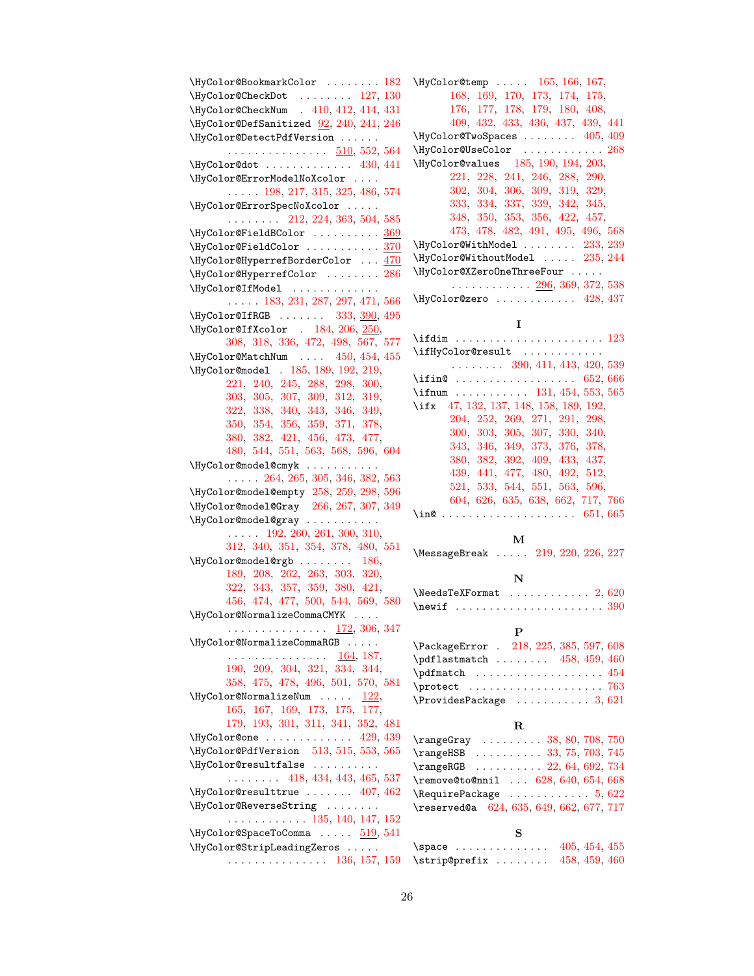\HyColor@BookmarkColor . . . . . . . . [182](#page-7-4) \HyColor@CheckDot . . . . . . . . [127,](#page-5-6) [130](#page-5-7) \HyColor@CheckNum . [410,](#page-14-6) [412,](#page-14-7) [414,](#page-14-8) [431](#page-14-9) \HyColor@DefSanitized [92,](#page-4-10) [240,](#page-8-16) [241,](#page-8-17) [246](#page-8-18) \HyColor@DetectPdfVersion . . . . . .  $\ldots \ldots \ldots \ldots \quad \frac{510}{52,552,564}$  $\ldots \ldots \ldots \ldots \quad \frac{510}{52,552,564}$  $\ldots \ldots \ldots \ldots \quad \frac{510}{52,552,564}$  $\ldots \ldots \ldots \ldots \quad \frac{510}{52,552,564}$ \HyColor@dot ............ [430,](#page-14-10) [441](#page-14-11) \HyColor@ErrorModelNoXcolor . . . . . . . . . [198,](#page-7-5) [217,](#page-8-19) [315,](#page-12-14) [325,](#page-12-15) [486,](#page-16-11) [574](#page-18-16) \HyColor@ErrorSpecNoXcolor . . . . . . . . . . . . . [212,](#page-8-20) [224,](#page-8-21) [363,](#page-13-12) [504,](#page-16-12) [585](#page-18-17) \HyColor@FieldBColor .......... [369](#page-13-13) \HyColor@FieldColor . . . . . . . . . . . [370](#page-13-14) \HyColor@HyperrefBorderColor . . . [470](#page-15-3) \HyColor@HyperrefColor . . . . . . . . [286](#page-9-18) \HyColor@IfModel ............. . . . . . [183,](#page-7-6) [231,](#page-8-22) [287,](#page-9-19) [297,](#page-12-16) [471,](#page-15-4) [566](#page-17-15) \HyColor@IfRGB . . . . . . [333,](#page-12-17) [390,](#page-13-15) [495](#page-16-13) \HyColor@IfXcolor . [184,](#page-7-7) [206,](#page-8-23) [250,](#page-8-24) [308,](#page-12-18) [318,](#page-12-19) [336,](#page-12-20) [472,](#page-15-5) [498,](#page-16-14) [567,](#page-18-18) [577](#page-18-19) \HyColor@MatchNum . . . . [450,](#page-14-12) [454,](#page-14-13) [455](#page-14-14) \HyColor@model . [185,](#page-7-3) [189,](#page-7-8) [192,](#page-7-9) [219,](#page-8-25) [221,](#page-8-26) [240,](#page-8-16) [245,](#page-8-27) [288,](#page-9-20) [298,](#page-12-21) [300,](#page-12-22) [303,](#page-12-23) [305,](#page-12-24) [307,](#page-12-25) [309,](#page-12-10) [312,](#page-12-26) [319,](#page-12-11) [322,](#page-12-27) [338,](#page-12-2) [340,](#page-12-28) [343,](#page-12-29) [346,](#page-12-30) [349,](#page-12-31) [350,](#page-12-12) [354,](#page-12-32) [356,](#page-13-10) [359,](#page-13-16) [371,](#page-13-3) [378,](#page-13-17) [380,](#page-13-18) [382,](#page-13-19) [421,](#page-14-15) [456,](#page-14-16) [473,](#page-16-6) [477,](#page-16-15) [480,](#page-16-16) [544,](#page-17-16) [551,](#page-17-17) [563,](#page-17-18) [568,](#page-18-12) [596,](#page-18-20) [604](#page-18-21) \HyColor@model@cmyk . . . . . . . . . . . . . . . . [264,](#page-9-21) [265,](#page-9-12) [305,](#page-12-24) [346,](#page-12-30) [382,](#page-13-19) [563](#page-17-18) \HyColor@model@empty [258,](#page-9-22) [259,](#page-9-9) [298,](#page-12-21) [596](#page-18-20) \HyColor@model@Gray [266,](#page-9-23) [267,](#page-9-13) [307,](#page-12-25) [349](#page-12-31) \HyColor@model@gray . . . . . . . . . . . . . . . . [192,](#page-7-9) [260,](#page-9-24) [261,](#page-9-10) [300,](#page-12-22) [310,](#page-12-33) [312,](#page-12-26) [340,](#page-12-28) [351,](#page-12-34) [354,](#page-12-32) [378,](#page-13-17) [480,](#page-16-16) [551](#page-17-17) \HyColor@model@rgb . . . . . . . . [186,](#page-7-10) [189,](#page-7-8) [208,](#page-8-13) [262,](#page-9-25) [263,](#page-9-11) [303,](#page-12-23) [320,](#page-12-35) [322,](#page-12-27) [343,](#page-12-29) [357,](#page-13-20) [359,](#page-13-16) [380,](#page-13-18) [421,](#page-14-15) [456,](#page-14-16) [474,](#page-16-17) [477,](#page-16-15) [500,](#page-16-7) [544,](#page-17-16) [569,](#page-18-22) [580](#page-18-23) \HyColor@NormalizeCommaCMYK . . . . . . . . . . . . . . . . . . . <u>[172,](#page-5-16)</u> [306,](#page-12-4) [347](#page-12-36) \HyColor@NormalizeCommaRGB . . . . . . . . . . . . . . . . . . . . [164,](#page-5-17) [187,](#page-7-1) [190,](#page-7-2) [209,](#page-8-8) [304,](#page-12-3) [321,](#page-12-5) [334,](#page-12-6) [344,](#page-12-37) [358,](#page-13-7) [475,](#page-16-2) [478,](#page-16-3) [496,](#page-16-4) [501,](#page-16-5) [570,](#page-18-10) [581](#page-18-11)  $\N$ yColor@NormalizeNum ..... [122,](#page-5-18) [165,](#page-5-19) [167,](#page-5-20) [169,](#page-5-21) [173,](#page-5-22) [175,](#page-6-2) [177,](#page-6-3) [179,](#page-6-4) [193,](#page-7-11) [301,](#page-12-38) [311,](#page-12-39) [341,](#page-12-40) [352,](#page-12-41) [481](#page-16-18) \HyColor@one . . . . . . . . . . . . . [429,](#page-14-17) [439](#page-14-18) \HyColor@PdfVersion [513,](#page-17-8) [515,](#page-17-9) [553,](#page-17-19) [565](#page-17-20) \HyColor@resultfalse . . . . . . . . . . . . . . . . . . [418,](#page-14-19) [434,](#page-14-20) [443,](#page-14-21) [465,](#page-15-6) [537](#page-17-21)  $\HyColor@resulttrue$  ...... [407,](#page-14-22) [462](#page-15-7) \HyColor@ReverseString . . . . . . . . . . . . . . . . . . . . [135,](#page-5-8) [140,](#page-5-9) [147,](#page-5-10) [152](#page-5-11) \HyColor@SpaceToComma ..... [519,](#page-17-22) [541](#page-17-7) \HyColor@StripLeadingZeros . . . . . . . . . . . . . . . . . . . . [136,](#page-5-3) [157,](#page-5-23) [159](#page-5-24)

\HyColor@temp . . . . . [165,](#page-5-19) [166,](#page-5-25) [167,](#page-5-20) [168,](#page-5-26) [169,](#page-5-21) [170,](#page-5-27) [173,](#page-5-22) [174,](#page-5-28) [175,](#page-6-2) [176,](#page-6-5) [177,](#page-6-3) [178,](#page-6-6) [179,](#page-6-4) [180,](#page-6-7) [408,](#page-14-23) [409,](#page-14-24) [432,](#page-14-25) [433,](#page-14-2) [436,](#page-14-1) [437,](#page-14-26) [439,](#page-14-18) [441](#page-14-11) \HyColor@TwoSpaces ....... [405,](#page-14-27) [409](#page-14-24) \HyColor@UseColor . . . . . . . . . . . . [268](#page-9-26) \HyColor@values [185,](#page-7-3) [190,](#page-7-2) [194,](#page-7-12) [203,](#page-8-28) [221,](#page-8-26) [228,](#page-8-29) [241,](#page-8-17) [246,](#page-8-18) [288,](#page-9-20) [290,](#page-10-1) [302,](#page-12-42) [304,](#page-12-3) [306,](#page-12-4) [309,](#page-12-10) [319,](#page-12-11) [329,](#page-12-43) [333,](#page-12-17) [334,](#page-12-6) [337,](#page-12-13) [339,](#page-12-9) [342,](#page-12-44) [345,](#page-12-7) [348,](#page-12-8) [350,](#page-12-12) [353,](#page-12-45) [356,](#page-13-10) [422,](#page-14-28) [457,](#page-14-29) [473,](#page-16-6) [478,](#page-16-3) [482,](#page-16-19) [491,](#page-16-20) [495,](#page-16-13) [496,](#page-16-4) [568](#page-18-12) \HyColor@WithModel . . . . . . . . [233,](#page-8-30) [239](#page-8-10) \HyColor@WithoutModel . . . . . [235,](#page-8-31) [244](#page-8-11) \HyColor@XZeroOneThreeFour . . . . .  $\ldots$ . . . . . . . . . . [296,](#page-11-1) [369,](#page-13-21) [372,](#page-13-22) [538](#page-17-23) \HyColor@zero . . . . . . . . . . . . [428,](#page-14-30) [437](#page-14-26) I \ifdim . . . . . . . . . . . . . . . . . . . . . . [123](#page-5-29) \ifHyColor@result ............ . . . . . . . . [390,](#page-13-23) [411,](#page-14-31) [413,](#page-14-32) [420,](#page-14-33) [539](#page-17-24) \ifin@ . . . . . . . . . . . . . . . . . . [652,](#page-19-10) [666](#page-20-22) \ifnum . . . . . . . . . . . [131,](#page-5-5) [454,](#page-14-13) [553,](#page-17-19) [565](#page-17-20) \ifx [47,](#page-2-22) [132,](#page-5-14) [137,](#page-5-4) [148,](#page-5-15) [158,](#page-5-30) [189,](#page-7-8) [192,](#page-7-9) [204,](#page-8-4) [252,](#page-8-14) [269,](#page-9-2) [271,](#page-9-3) [291,](#page-10-0) [298,](#page-12-21) [300,](#page-12-22) [303,](#page-12-23) [305,](#page-12-24) [307,](#page-12-25) [330,](#page-12-1) [340,](#page-12-28) [343,](#page-12-29) [346,](#page-12-30) [349,](#page-12-31) [373,](#page-13-24) [376,](#page-13-5) [378,](#page-13-17) [380,](#page-13-18) [382,](#page-13-19) [392,](#page-13-11) [409,](#page-14-24) [433,](#page-14-2) [437,](#page-14-26) [439,](#page-14-18) [441,](#page-14-11) [477,](#page-16-15) [480,](#page-16-16) [492,](#page-16-1) [512,](#page-16-8) [521,](#page-17-25) [533,](#page-17-0) [544,](#page-17-16) [551,](#page-17-17) [563,](#page-17-18) [596,](#page-18-20) [604,](#page-18-21) [626,](#page-19-11) [635,](#page-19-12) [638,](#page-19-13) [662,](#page-19-14) [717,](#page-20-23) [766](#page-21-20) \in@ . . . . . . . . . . . . . . . . . . . . [651,](#page-19-6) [665](#page-19-7) M \MessageBreak . . . . . [219,](#page-8-25) [220,](#page-8-32) [226,](#page-8-33) [227](#page-8-34) N  $\NeedsTeXFormat$  . . . . . . . . . . . [2,](#page-2-24) [620](#page-19-15) \newif . . . . . . . . . . . . . . . . . . . . . . [390](#page-13-23) P \PackageError . [218,](#page-8-35) [225,](#page-8-36) [385,](#page-13-2) [597,](#page-18-24) [608](#page-18-25) \pdflastmatch ....... [458,](#page-14-34) [459,](#page-14-35) [460](#page-14-36)  $\phi$ fmatch . . . . . . . . . . . . . . . . . [454](#page-14-13) \protect . . . . . . . . . . . . . . . . . . . . [763](#page-21-25) \ProvidesPackage . . . . . . . . . . . [3,](#page-2-25) [621](#page-19-16) R \rangeGray . . . . . . . . . [38,](#page-2-4) [80,](#page-3-5) [708,](#page-20-3) [750](#page-21-4) \rangeHSB . . . . . . . . . . [33,](#page-2-3) [75,](#page-3-4) [703,](#page-20-2) [745](#page-21-3) \rangeRGB . . . . . . . . . . [22,](#page-2-1) [64,](#page-3-2) [692,](#page-20-0) [734](#page-21-1) \remove@to@nnil . . . [628,](#page-19-17) [640,](#page-19-18) [654,](#page-19-19) [668](#page-20-24)  $\lambda$  RequirePackage . . . . . . . . . . . [5,](#page-2-26) [622](#page-19-20) \reserved@a [624,](#page-19-21) [635,](#page-19-12) [649,](#page-19-22) [662,](#page-19-14) [677,](#page-20-25) [717](#page-20-23) S \space ............. [405,](#page-14-27) [454,](#page-14-13) [455](#page-14-14) \strip@prefix ....... [458,](#page-14-34) [459,](#page-14-35) [460](#page-14-36)